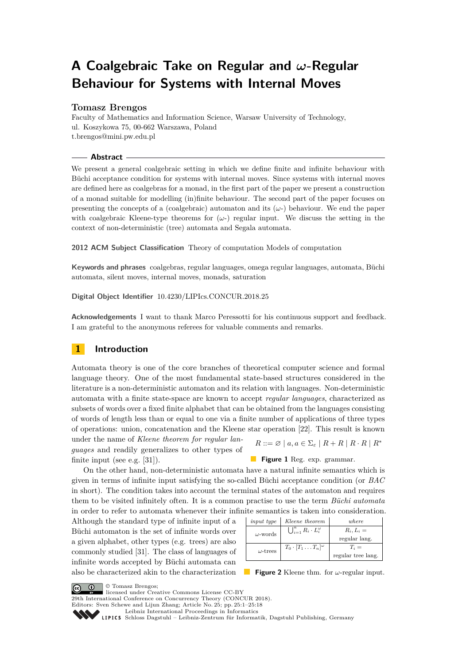# **A Coalgebraic Take on Regular and** *ω***-Regular Behaviour for Systems with Internal Moves**

# **Tomasz Brengos**

Faculty of Mathematics and Information Science, Warsaw University of Technology, ul. Koszykowa 75, 00-662 Warszawa, Poland [t.brengos@mini.pw.edu.pl](mailto:t.brengos@mini.pw.edu.pl)

## **Abstract**

We present a general coalgebraic setting in which we define finite and infinite behaviour with Büchi acceptance condition for systems with internal moves. Since systems with internal moves are defined here as coalgebras for a monad, in the first part of the paper we present a construction of a monad suitable for modelling (in)finite behaviour. The second part of the paper focuses on presenting the concepts of a (coalgebraic) automaton and its  $(\omega)$  behaviour. We end the paper with coalgebraic Kleene-type theorems for  $(\omega)$  regular input. We discuss the setting in the context of non-deterministic (tree) automata and Segala automata.

**2012 ACM Subject Classification** Theory of computation Models of computation

**Keywords and phrases** coalgebras, regular languages, omega regular languages, automata, Büchi automata, silent moves, internal moves, monads, saturation

**Digital Object Identifier** [10.4230/LIPIcs.CONCUR.2018.25](http://dx.doi.org/10.4230/LIPIcs.CONCUR.2018.25)

**Acknowledgements** I want to thank Marco Peressotti for his continuous support and feedback. I am grateful to the anonymous referees for valuable comments and remarks.

# **1 Introduction**

Automata theory is one of the core branches of theoretical computer science and formal language theory. One of the most fundamental state-based structures considered in the literature is a non-deterministic automaton and its relation with languages. Non-deterministic automata with a finite state-space are known to accept *regular languages*, characterized as subsets of words over a fixed finite alphabet that can be obtained from the languages consisting of words of length less than or equal to one via a finite number of applications of three types of operations: union, concatenation and the Kleene star operation [\[22\]](#page-16-0). This result is known

under the name of *Kleene theorem for regular languages* and readily generalizes to other types of finite input (see e.g. [\[31\]](#page-16-1)).

**Figure 1** Reg. exp. grammar.

On the other hand, non-deterministic automata have a natural infinite semantics which is given in terms of infinite input satisfying the so-called Büchi acceptance condition (or *BAC* in short). The condition takes into account the terminal states of the automaton and requires them to be visited infinitely often. It is a common practise to use the term *Büchi automata* in order to refer to automata whenever their infinite semantics is taken into consideration.

Although the standard type of infinite input of a Büchi automaton is the set of infinite words over a given alphabet, other types (e.g. trees) are also commonly studied [\[31\]](#page-16-1). The class of languages of infinite words accepted by Büchi automata can also be characterized akin to the characterization

| <i>input type</i> | Kleene theorem                           | where              |
|-------------------|------------------------------------------|--------------------|
| $\omega$ -words   | $\bigcup_{i=1}^n R_i \cdot L_i^{\omega}$ | $R_i, L_i =$       |
|                   |                                          | regular lang.      |
| $\omega$ -trees   | $T_0 \cdot [T_1 \dots T_n]^{\omega}$     | $T_i =$            |
|                   |                                          | regular tree lang. |

**Figure 2** Kleene thm. for *ω*-regular input.

© Tomasz Brengos;

licensed under Creative Commons License CC-BY

29th International Conference on Concurrency Theory (CONCUR 2018).

Editors: Sven Schewe and Lijun Zhang; Article No. 25; pp. 25:1–25[:18](#page-17-0)

[Leibniz International Proceedings in Informatics](http://www.dagstuhl.de/lipics/)

Leibniz international Floretungs in miximismos<br>
LIPICS [Schloss Dagstuhl – Leibniz-Zentrum für Informatik, Dagstuhl Publishing, Germany](http://www.dagstuhl.de)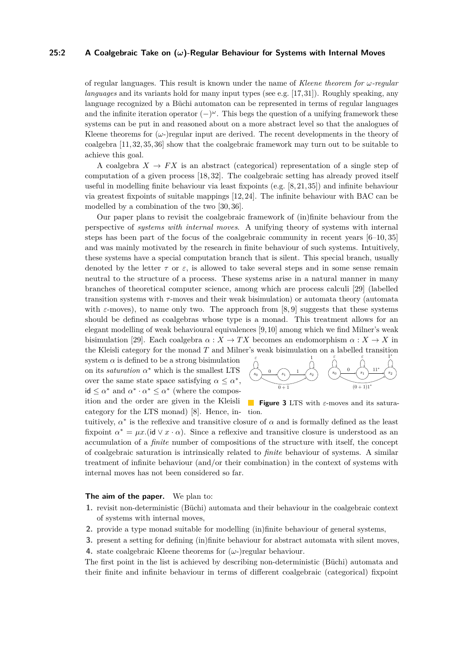#### **25:2 A Coalgebraic Take on (***ω***)-Regular Behaviour for Systems with Internal Moves**

of regular languages. This result is known under the name of *Kleene theorem for ω-regular languages* and its variants hold for many input types (see e.g. [\[17,](#page-16-2)[31\]](#page-16-1)). Roughly speaking, any language recognized by a Büchi automaton can be represented in terms of regular languages and the infinite iteration operator (−) *<sup>ω</sup>*. This begs the question of a unifying framework these systems can be put in and reasoned about on a more abstract level so that the analogues of Kleene theorems for  $(\omega)$ -)regular input are derived. The recent developments in the theory of coalgebra [\[11,](#page-15-0) [32,](#page-16-3) [35,](#page-17-1) [36\]](#page-17-2) show that the coalgebraic framework may turn out to be suitable to achieve this goal.

A coalgebra  $X \to FX$  is an abstract (categorical) representation of a single step of computation of a given process [\[18,](#page-16-4) [32\]](#page-16-3). The coalgebraic setting has already proved itself useful in modelling finite behaviour via least fixpoints (e.g. [\[8,](#page-15-1) [21,](#page-16-5) [35\]](#page-17-1)) and infinite behaviour via greatest fixpoints of suitable mappings [\[12,](#page-15-2) [24\]](#page-16-6). The infinite behaviour with BAC can be modelled by a combination of the two [\[30,](#page-16-7) [36\]](#page-17-2).

Our paper plans to revisit the coalgebraic framework of (in)finite behaviour from the perspective of *systems with internal moves*. A unifying theory of systems with internal steps has been part of the focus of the coalgebraic community in recent years [\[6–](#page-15-3)[10,](#page-15-4) [35\]](#page-17-1) and was mainly motivated by the research in finite behaviour of such systems. Intuitively, these systems have a special computation branch that is silent. This special branch, usually denoted by the letter  $\tau$  or  $\varepsilon$ , is allowed to take several steps and in some sense remain neutral to the structure of a process. These systems arise in a natural manner in many branches of theoretical computer science, among which are process calculi [\[29\]](#page-16-8) (labelled transition systems with *τ* -moves and their weak bisimulation) or automata theory (automata with  $\varepsilon$ -moves), to name only two. The approach from [\[8,](#page-15-1) [9\]](#page-15-5) suggests that these systems should be defined as coalgebras whose type is a monad. This treatment allows for an elegant modelling of weak behavioural equivalences [\[9,](#page-15-5)[10\]](#page-15-4) among which we find Milner's weak bisimulation [\[29\]](#page-16-8). Each coalgebra  $\alpha: X \to TX$  becomes an endomorphism  $\alpha: X \to X$  in the Kleisli category for the monad *T* and Milner's weak bisimulation on a labelled transition

category for the LTS monad) [\[8\]](#page-15-1). Hence, in- tion. system  $\alpha$  is defined to be a strong bisimulation on its *saturation*  $\alpha^*$  which is the smallest LTS over the same state space satisfying  $\alpha \leq \alpha^*$ ,  $id \leq \alpha^*$  and  $\alpha^* \cdot \alpha^* \leq \alpha^*$  (where the composition and the order are given in the Kleisli



**Figure 3** LTS with *ε*-moves and its satura-

tuitively,  $\alpha^*$  is the reflexive and transitive closure of  $\alpha$  and is formally defined as the least fixpoint  $\alpha^* = \mu x$ . (id  $\vee x \cdot \alpha$ ). Since a reflexive and transitive closure is understood as an accumulation of a *finite* number of compositions of the structure with itself, the concept of coalgebraic saturation is intrinsically related to *finite* behaviour of systems. A similar treatment of infinite behaviour (and/or their combination) in the context of systems with internal moves has not been considered so far.

## **The aim of the paper.** We plan to:

- **1.** revisit non-deterministic (Büchi) automata and their behaviour in the coalgebraic context of systems with internal moves,
- **2.** provide a type monad suitable for modelling (in)finite behaviour of general systems,
- <span id="page-1-0"></span>**3.** present a setting for defining (in)finite behaviour for abstract automata with silent moves,
- <span id="page-1-1"></span>**4.** state coalgebraic Kleene theorems for  $(\omega$ -)regular behaviour.

The first point in the list is achieved by describing non-deterministic (Büchi) automata and their finite and infinite behaviour in terms of different coalgebraic (categorical) fixpoint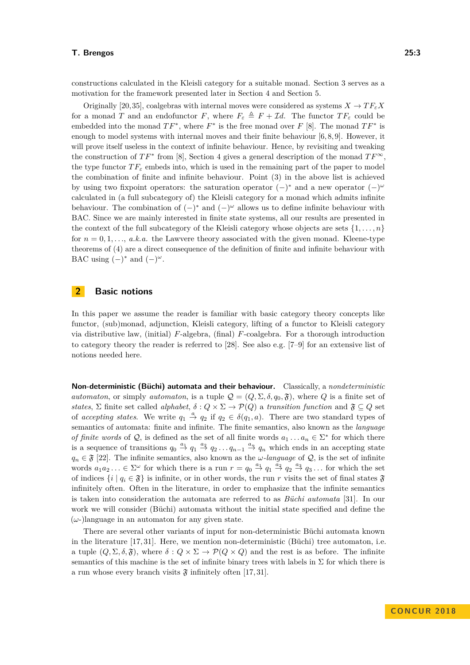constructions calculated in the Kleisli category for a suitable monad. Section [3](#page-4-0) serves as a motivation for the framework presented later in Section [4](#page-7-0) and Section [5.](#page-10-0)

Originally [\[20,](#page-16-9)[35\]](#page-17-1), coalgebras with internal moves were considered as systems  $X \to TF_{\varepsilon}X$ for a monad *T* and an endofunctor *F*, where  $F_{\varepsilon} \triangleq F + \mathcal{I}d$ . The functor  $TF_{\varepsilon}$  could be embedded into the monad  $TF^*$ , where  $F^*$  is the free monad over  $F$  [\[8\]](#page-15-1). The monad  $TF^*$  is enough to model systems with internal moves and their finite behaviour  $[6, 8, 9]$  $[6, 8, 9]$  $[6, 8, 9]$ . However, it will prove itself useless in the context of infinite behaviour. Hence, by revisiting and tweaking the construction of  $TF^*$  from [\[8\]](#page-15-1), Section [4](#page-7-0) gives a general description of the monad  $TF^{\infty}$ , the type functor  $TF_{\varepsilon}$  embeds into, which is used in the remaining part of the paper to model the combination of finite and infinite behaviour. Point [\(3\)](#page-1-0) in the above list is achieved by using two fixpoint operators: the saturation operator  $(-)^*$  and a new operator  $(-)^{\omega}$ calculated in (a full subcategory of) the Kleisli category for a monad which admits infinite behaviour. The combination of  $(-)^*$  and  $(-)^\omega$  allows us to define infinite behaviour with BAC. Since we are mainly interested in finite state systems, all our results are presented in the context of the full subcategory of the Kleisli category whose objects are sets  $\{1, \ldots, n\}$ for  $n = 0, 1, \ldots, a, k, a$ . the Lawvere theory associated with the given monad. Kleene-type theorems of [\(4\)](#page-1-1) are a direct consequence of the definition of finite and infinite behaviour with BAC using  $(-)^*$  and  $(-)^\omega$ .

# <span id="page-2-0"></span>**2 Basic notions**

In this paper we assume the reader is familiar with basic category theory concepts like functor, (sub)monad, adjunction, Kleisli category, lifting of a functor to Kleisli category via distributive law, (initial) *F*-algebra, (final) *F*-coalgebra. For a thorough introduction to category theory the reader is referred to [\[28\]](#page-16-10). See also e.g. [\[7–](#page-15-6)[9\]](#page-15-5) for an extensive list of notions needed here.

**Non-deterministic (Büchi) automata and their behaviour.** Classically, a *nondeterministic automaton*, or simply *automaton*, is a tuple  $\mathcal{Q} = (Q, \Sigma, \delta, q_0, \mathfrak{F})$ , where *Q* is a finite set of *states*,  $\Sigma$  finite set called *alphabet*,  $\delta$  :  $Q \times \Sigma \rightarrow \mathcal{P}(Q)$  a *transition function* and  $\mathfrak{F} \subseteq Q$  set of *accepting states*. We write  $q_1 \stackrel{a}{\rightarrow} q_2$  if  $q_2 \in \delta(q_1, a)$ . There are two standard types of semantics of automata: finite and infinite. The finite semantics, also known as the *language of finite words* of  $Q$ , is defined as the set of all finite words  $a_1 \ldots a_n \in \Sigma^*$  for which there is a sequence of transitions  $q_0 \stackrel{a_1}{\rightarrow} q_1 \stackrel{a_2}{\rightarrow} q_2 \dots q_{n-1} \stackrel{a_n}{\rightarrow} q_n$  which ends in an accepting state  $q_n \in \mathfrak{F}$  [\[22\]](#page-16-0). The infinite semantics, also known as the *ω-language* of  $\mathcal{Q}$ , is the set of infinite words  $a_1 a_2 \ldots \in \Sigma^\omega$  for which there is a run  $r = q_0 \stackrel{a_1}{\rightarrow} q_1 \stackrel{a_2}{\rightarrow} q_2 \stackrel{a_3}{\rightarrow} q_3 \ldots$  for which the set of indices  $\{i \mid q_i \in \mathfrak{F}\}\$ is infinite, or in other words, the run *r* visits the set of final states  $\mathfrak{F}$ infinitely often. Often in the literature, in order to emphasize that the infinite semantics is taken into consideration the automata are referred to as *Büchi automata* [\[31\]](#page-16-1). In our work we will consider (Büchi) automata without the initial state specified and define the  $(\omega)$ language in an automaton for any given state.

There are several other variants of input for non-deterministic Büchi automata known in the literature [\[17,](#page-16-2) [31\]](#page-16-1). Here, we mention non-deterministic (Büchi) tree automaton, i.e. a tuple  $(Q, \Sigma, \delta, \mathfrak{F})$ , where  $\delta : Q \times \Sigma \to \mathcal{P}(Q \times Q)$  and the rest is as before. The infinite semantics of this machine is the set of infinite binary trees with labels in  $\Sigma$  for which there is a run whose every branch visits  $\mathfrak{F}$  infinitely often [\[17,](#page-16-2) [31\]](#page-16-1).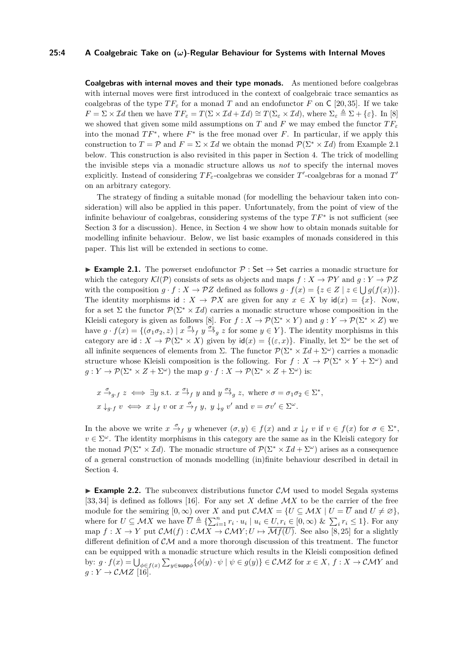#### **25:4 A Coalgebraic Take on (***ω***)-Regular Behaviour for Systems with Internal Moves**

**Coalgebras with internal moves and their type monads.** As mentioned before coalgebras with internal moves were first introduced in the context of coalgebraic trace semantics as coalgebras of the type  $TF_{\varepsilon}$  for a monad T and an endofunctor F on C [\[20,](#page-16-9) [35\]](#page-17-1). If we take  $F = \Sigma \times \mathcal{I}$ *d* then we have  $TF_{\varepsilon} = T(\Sigma \times \mathcal{I}d + \mathcal{I}d) \cong T(\Sigma_{\varepsilon} \times \mathcal{I}d)$ , where  $\Sigma_{\varepsilon} \triangleq \Sigma + {\varepsilon}$ . In [\[8\]](#page-15-1) we showed that given some mild assumptions on *T* and *F* we may embed the functor  $TF_{\varepsilon}$ into the monad  $TF^*$ , where  $F^*$  is the free monad over  $F$ . In particular, if we apply this construction to  $T = \mathcal{P}$  and  $F = \Sigma \times \mathcal{I}d$  we obtain the monad  $\mathcal{P}(\Sigma^* \times \mathcal{I}d)$  from Example [2.1](#page-3-0) below. This construction is also revisited in this paper in Section [4.](#page-7-0) The trick of modelling the invisible steps via a monadic structure allows us *not* to specify the internal moves explicitly. Instead of considering  $TF_\varepsilon$ -coalgebras we consider  $T'$ -coalgebras for a monad  $T'$ on an arbitrary category.

The strategy of finding a suitable monad (for modelling the behaviour taken into consideration) will also be applied in this paper. Unfortunately, from the point of view of the infinite behaviour of coalgebras, considering systems of the type *T F*<sup>∗</sup> is not sufficient (see Section [3](#page-4-0) for a discussion). Hence, in Section [4](#page-7-0) we show how to obtain monads suitable for modelling infinite behaviour. Below, we list basic examples of monads considered in this paper. This list will be extended in sections to come.

<span id="page-3-0"></span>**■ Example 2.1.** The powerset endofunctor  $\mathcal{P}$  : Set  $\rightarrow$  Set carries a monadic structure for which the category  $\mathcal{K}l(\mathcal{P})$  consists of sets as objects and maps  $f : X \to \mathcal{P}Y$  and  $g : Y \to \mathcal{P}Z$ with the composition  $g \cdot f : X \to \mathcal{P}Z$  defined as follows  $g \cdot f(x) = \{z \in Z \mid z \in \bigcup g(f(x))\}.$ The identity morphisms id :  $X \to \mathcal{P}X$  are given for any  $x \in X$  by  $\text{id}(x) = \{x\}$ . Now, for a set  $\Sigma$  the functor  $\mathcal{P}(\Sigma^* \times \mathcal{I}d)$  carries a monadic structure whose composition in the Kleisli category is given as follows [\[8\]](#page-15-1). For  $f : X \to \mathcal{P}(\Sigma^* \times Y)$  and  $g : Y \to \mathcal{P}(\Sigma^* \times Z)$  we have  $g \cdot f(x) = \{(\sigma_1 \sigma_2, z) \mid x \stackrel{\sigma_1}{\to}_f y \stackrel{\sigma_2}{\to}_g z \text{ for some } y \in Y\}.$  The identity morphisms in this category are  $id: X \to \mathcal{P}(\Sigma^* \times X)$  given by  $id(x) = \{(\varepsilon, x)\}\.$  Finally, let  $\Sigma^\omega$  be the set of all infinite sequences of elements from  $\Sigma$ . The functor  $\mathcal{P}(\Sigma^* \times \mathcal{I}d + \Sigma^\omega)$  carries a monadic structure whose Kleisli composition is the following. For  $f: X \to \mathcal{P}(\Sigma^* \times Y + \Sigma^{\omega})$  and  $g: Y \to \mathcal{P}(\Sigma^* \times Z + \Sigma^{\omega})$  the map  $g \cdot f: X \to \mathcal{P}(\Sigma^* \times Z + \Sigma^{\omega})$  is:

$$
x \xrightarrow{\sigma} g \cdot f \ z \iff \exists y \text{ s.t. } x \xrightarrow{\sigma_1} y \text{ and } y \xrightarrow{\sigma_2} z, \text{ where } \sigma = \sigma_1 \sigma_2 \in \Sigma^*,
$$
  

$$
x \downarrow_{g \cdot f} v \iff x \downarrow_f v \text{ or } x \xrightarrow{\sigma} f y, \ y \downarrow_g v' \text{ and } v = \sigma v' \in \Sigma^\omega.
$$

In the above we write  $x \stackrel{\sigma}{\to}_f y$  whenever  $(\sigma, y) \in f(x)$  and  $x \downarrow_f v$  if  $v \in f(x)$  for  $\sigma \in \Sigma^*$ ,  $v \in \Sigma^{\omega}$ . The identity morphisms in this category are the same as in the Kleisli category for the monad  $\mathcal{P}(\Sigma^* \times \mathcal{I}d)$ . The monadic structure of  $\mathcal{P}(\Sigma^* \times \mathcal{I}d + \Sigma^\omega)$  arises as a consequence of a general construction of monads modelling (in)finite behaviour described in detail in Section [4.](#page-7-0)

**Example 2.2.** The subconvex distributions functor  $CM$  used to model Segala systems [\[33,](#page-16-11) [34\]](#page-17-3) is defined as follows [\[16\]](#page-16-12). For any set *X* define M*X* to be the carrier of the free module for the semiring  $[0, \infty)$  over *X* and put  $\mathcal{CM}X = \{U \subseteq \mathcal{M}X \mid U = \overline{U} \text{ and } U \neq \emptyset\},\$ where for  $U \subseteq MX$  we have  $\overline{U} \triangleq {\sum_{i=1}^{n} r_i \cdot u_i \mid u_i \in U, r_i \in [0, \infty) \& \sum_i r_i \leq 1}.$  For any map  $f: X \to Y$  put  $\mathcal{CM}(f): \mathcal{CM}X \to \mathcal{CM}Y; U \mapsto \overline{\mathcal{M}f(U)}$ . See also [\[8,](#page-15-1)25] for a slightly different definition of  $\mathcal{CM}$  and a more thorough discussion of this treatment. The functor can be equipped with a monadic structure which results in the Kleisli composition defined by:  $g \cdot f(x) = \bigcup_{\phi \in f(x)} \sum_{y \in \text{supp}\phi} \{\phi(y) \cdot \psi \mid \psi \in g(y)\} \in \mathcal{CMZ}$  for  $x \in X, f : X \to \mathcal{CMY}$  and  $g: Y \to \mathcal{CMZ}$  [\[16\]](#page-16-12).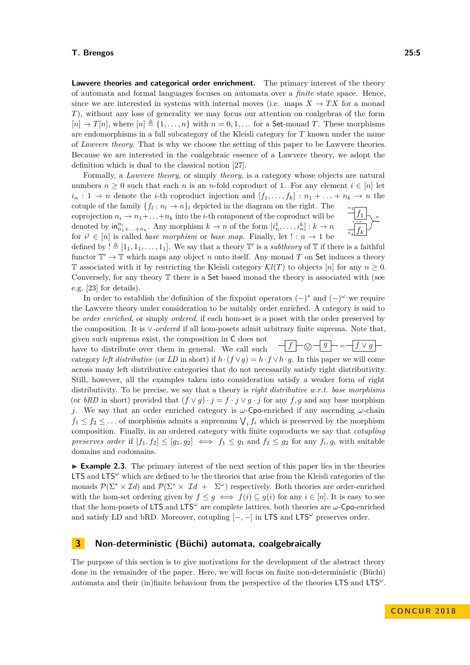**Lawvere theories and categorical order enrichment.** The primary interest of the theory of automata and formal languages focuses on automata over a *finite* state space. Hence, since we are interested in systems with internal moves (i.e. maps  $X \to TX$  for a monad *T*), without any loss of generality we may focus our attention on coalgebras of the form  $[n] \to T[n]$ , where  $[n] \triangleq \{1, \ldots, n\}$  with  $n = 0, 1, \ldots$  for a **Set-monad** *T*. These morphisms are endomorphisms in a full subcategory of the Kleisli category for *T* known under the name of *Lawvere theory*. That is why we choose the setting of this paper to be Lawvere theories. Because we are interested in the coalgebraic essence of a Lawvere theory, we adopt the definition which is dual to the classical notion [\[27\]](#page-16-14).

Formally, a *Lawvere theory*, or simply *theory*, is a category whose objects are natural numbers  $n \geq 0$  such that each *n* is an *n*-fold coproduct of 1. For any element  $i \in [n]$  let  $i_n: 1 \to n$  denote the *i*-th coproduct injection and  $[f_1, \ldots, f_k]: n_1 + \ldots + n_k \to n$  the

*nk n*1 cotuple of the family  $\{f_l: n_l \to n\}_l$  depicted in the diagram on the right. The coprojection  $n_i \to n_1 + \ldots + n_k$  into the *i*-th component of the coproduct will be denoted by  $\inf_{n_1+\ldots+n_k}^n$ . Any morphism  $k \to n$  of the form  $[i_n^1, \ldots, i_n^k] : k \to n$ for  $i^j \in [n]$  is called *base morphism* or *base map*. Finally, let  $! : n \to 1$  be

defined by  $! \triangleq [1_1, 1_1, \ldots, 1_1]$ . We say that a theory  $\mathbb{T}'$  is a *subtheory* of  $\mathbb{T}$  if there is a faithful functor  $\mathbb{T}' \to \mathbb{T}$  which maps any object *n* onto itself. Any monad *T* on Set induces a theory T associated with it by restricting the Kleisli category  $\mathcal{K}l(T)$  to objects [*n*] for any  $n \geq 0$ . Conversely, for any theory T there is a Set based monad the theory is associated with (see e.g. [\[23\]](#page-16-15) for details).

In order to establish the definition of the fixpoint operators  $(-)^*$  and  $(-)^\omega$  we require the Lawvere theory under consideration to be suitably order enriched. A category is said to be *order enriched*, or simply *ordered*, if each hom-set is a poset with the order preserved by the composition. It is ∨*-ordered* if all hom-posets admit arbitrary finite suprema. Note that, given such suprema exist, the composition in C does not

 $\left| \int f \right| \sim \sqrt{g}$  =  $\left| \int f \vee g \right|$ have to distribute over them in general. We call such category *left distributive* (or *LD* in short) if  $h \cdot (f \vee q) = h \cdot f \vee h \cdot q$ . In this paper we will come across many left distributive categories that do not necessarily satisfy right distributivity. Still, however, all the examples taken into consideration satisfy a weaker form of right distributivity. To be precise, we say that a theory is *right distributive w.r.t. base morphisms* (or *bRD* in short) provided that  $(f \vee g) \cdot j = f \cdot j \vee g \cdot j$  for any *f*, *g* and any base morphism *j*. We say that an order enriched category is *ω*-Cpo-enriched if any ascending *ω*-chain  $f_1 \leq f_2 \leq \ldots$  of morphisms admits a supremum  $\bigvee_i f_i$  which is preserved by the morphism composition. Finally, in an ordered category with finite coproducts we say that *cotupling preserves order* if  $[f_1, f_2] \leq [g_1, g_2] \iff f_1 \leq g_1$  and  $f_2 \leq g_2$  for any  $f_i, g_i$  with suitable domains and codomains.

<span id="page-4-1"></span>**Example 2.3.** The primary interest of the next section of this paper lies in the theories LTS and LTS<sup>ω</sup> which are defined to be the theories that arise from the Kleisli categories of the monads  $\mathcal{P}(\Sigma^* \times \mathcal{I}d)$  and  $\mathcal{P}(\Sigma^* \times \mathcal{I}d + \Sigma^{\omega})$  respectively. Both theories are order-enriched with the hom-set ordering given by  $f \leq g \iff f(i) \subseteq g(i)$  for any  $i \in [n]$ . It is easy to see that the hom-posets of LTS and LTS*<sup>ω</sup>* are complete lattices, both theories are *ω*-Cpo-enriched and satisfy LD and bRD. Moreover, cotupling  $[-,-]$  in LTS and LTS<sup> $\omega$ </sup> preserves order.

## <span id="page-4-0"></span>**3 Non-deterministic (Büchi) automata, coalgebraically**

The purpose of this section is to give motivations for the development of the abstract theory done in the remainder of the paper. Here, we will focus on finite non-deterministic (Büchi) automata and their (in)finite behaviour from the perspective of the theories LTS and LTS*<sup>ω</sup>* .

*. . .*

*fk*

*f*1

*n*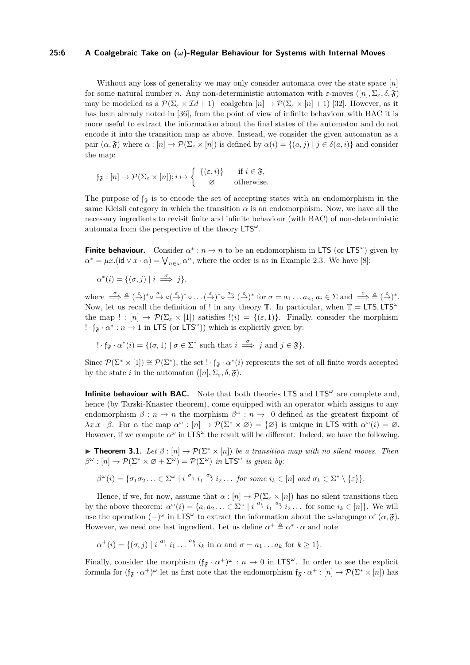#### **25:6 A Coalgebraic Take on (***ω***)-Regular Behaviour for Systems with Internal Moves**

Without any loss of generality we may only consider automata over the state space [*n*] for some natural number *n*. Any non-deterministic automaton with *ε*-moves ([*n*]*,* Σ*ε, δ,* F) may be modelled as a  $\mathcal{P}(\Sigma_\varepsilon \times \mathcal{I}d + 1)$  –coalgebra  $[n] \to \mathcal{P}(\Sigma_\varepsilon \times [n] + 1)$  [\[32\]](#page-16-3). However, as it has been already noted in [\[36\]](#page-17-2), from the point of view of infinite behaviour with BAC it is more useful to extract the information about the final states of the automaton and do not encode it into the transition map as above. Instead, we consider the given automaton as a pair  $(\alpha, \mathfrak{F})$  where  $\alpha : [n] \to \mathcal{P}(\Sigma_{\varepsilon} \times [n])$  is defined by  $\alpha(i) = \{(a, j) | j \in \delta(a, i)\}\$  and consider the map:

$$
\mathfrak{f}_{\mathfrak{F}}:[n]\to \mathcal{P}(\Sigma_{\varepsilon}\times[n]);i\mapsto\left\{\begin{array}{cc} \{(\varepsilon,i)\} & \text{if } i\in\mathfrak{F},\\ \varnothing & \text{otherwise.} \end{array}\right.
$$

The purpose of  $f_{\mathfrak{F}}$  is to encode the set of accepting states with an endomorphism in the same Kleisli category in which the transition  $\alpha$  is an endomorphism. Now, we have all the necessary ingredients to revisit finite and infinite behaviour (with BAC) of non-deterministic automata from the perspective of the theory LTS*<sup>ω</sup>* .

**Finite behaviour.** Consider  $\alpha^* : n \to n$  to be an endomorphism in LTS (or LTS<sup>ω</sup>) given by  $\alpha^* = \mu x.$ (id  $\vee x \cdot \alpha$ ) =  $\bigvee_{n \in \omega} \alpha^n$ , where the order is as in Example [2.3.](#page-4-1) We have [\[8\]](#page-15-1):

$$
\alpha^*(i) = \{(\sigma, j) \mid i \implies j\},\
$$

where  $\stackrel{\sigma}{\implies} \stackrel{\Delta}{=} (\stackrel{\varepsilon}{\to})^* \circ \stackrel{a_1}{\to} \circ (\stackrel{\varepsilon}{\to})^* \circ \dots (\stackrel{\varepsilon}{\to})^* \circ \stackrel{a_n}{\to} (\stackrel{\varepsilon}{\to})^*$  for  $\sigma = a_1 \dots a_n, a_i \in \Sigma$  and  $\stackrel{\varepsilon}{\implies} \stackrel{\Delta}{=} (\stackrel{\varepsilon}{\to})^*$ . Now, let us recall the definition of ! in any theory  $\mathbb{T}$ . In particular, when  $\mathbb{T} = \mathsf{LTS}, \mathsf{LTS}^{\omega}$ the map  $! : [n] \to \mathcal{P}(\Sigma_{\varepsilon} \times [1])$  satisfies  $!(i) = \{(\varepsilon, 1)\}\$ . Finally, consider the morphism  $\cdot \cdot f_{\mathfrak{F}} \cdot \alpha^* : n \to 1$  in LTS (or LTS<sup> $\omega$ </sup>)) which is explicitly given by:

$$
\mathbf{!} \cdot \mathfrak{f}_{\mathfrak{F}} \cdot \alpha^*(i) = \{ (\sigma, 1) \mid \sigma \in \Sigma^* \text{ such that } i \stackrel{\sigma}{\implies} j \text{ and } j \in \mathfrak{F} \}.
$$

Since  $\mathcal{P}(\Sigma^* \times [1]) \cong \mathcal{P}(\Sigma^*)$ , the set ! · f<sub> $\mathfrak{F} \cdot \alpha^*(i)$  represents the set of all finite words accepted</sub> by the state *i* in the automaton  $([n], \Sigma_{\varepsilon}, \delta, \mathfrak{F})$ .

**Infinite behaviour with BAC.** Note that both theories LTS and LTS<sup> $\omega$ </sup> are complete and, hence (by Tarski-Knaster theorem), come equipped with an operator which assigns to any endomorphism  $\beta : n \to n$  the morphism  $\beta^{\omega} : n \to 0$  defined as the greatest fixpoint of *λx.x* · *β*. For *α* the map  $\alpha^{\omega}$  :  $[n] \rightarrow \mathcal{P}(\Sigma^* \times \emptyset) = {\emptyset}$  is unique in LTS with  $\alpha^{\omega}(i) = \emptyset$ . However, if we compute  $\alpha^{\omega}$  in LTS<sup> $\omega$ </sup> the result will be different. Indeed, we have the following.

<span id="page-5-0"></span>**► Theorem 3.1.** Let  $\beta$  :  $[n] \rightarrow \mathcal{P}(\Sigma^* \times [n])$  be a transition map with no silent moves. Then  $\beta^{\omega} : [n] \to \mathcal{P}(\Sigma^* \times \varnothing + \Sigma^{\omega}) = \mathcal{P}(\Sigma^{\omega})$  *in* LTS<sup> $\omega$ </sup> *is given by:* 

$$
\beta^{\omega}(i) = \{ \sigma_1 \sigma_2 \ldots \in \Sigma^{\omega} \mid i \stackrel{\sigma_1}{\to} i_1 \stackrel{\sigma_2}{\to} i_2 \ldots \text{ for some } i_k \in [n] \text{ and } \sigma_k \in \Sigma^* \setminus \{\varepsilon\} \}.
$$

Hence, if we, for now, assume that  $\alpha : [n] \to \mathcal{P}(\Sigma_{\varepsilon} \times [n])$  has no silent transitions then by the above theorem:  $\alpha^{\omega}(i) = \{a_1 a_2 \dots \in \Sigma^{\omega} \mid i \stackrel{a_1}{\to} i_1 \stackrel{a_2}{\to} i_2 \dots \text{ for some } i_k \in [n]\}.$  We will use the operation  $(-)^\omega$  in LTS<sup> $\omega$ </sup> to extract the information about the  $\omega$ -language of  $(\alpha, \mathfrak{F})$ . However, we need one last ingredient. Let us define  $\alpha^+ \triangleq \alpha^* \cdot \alpha$  and note

$$
\alpha^+(i) = \{(\sigma, j) \mid i \stackrel{a_1}{\to} i_1 \dots \stackrel{a_k}{\to} i_k \text{ in } \alpha \text{ and } \sigma = a_1 \dots a_k \text{ for } k \ge 1\}.
$$

Finally, consider the morphism  $(f_{\mathfrak{F}} \cdot \alpha^+)^\omega : n \to 0$  in LTS<sup> $\omega$ </sup>. In order to see the explicit formula for  $(f_{\mathfrak{F}} \cdot \alpha^+)^\omega$  let us first note that the endomorphism  $f_{\mathfrak{F}} \cdot \alpha^+ : [n] \to \mathcal{P}(\Sigma^* \times [n])$  has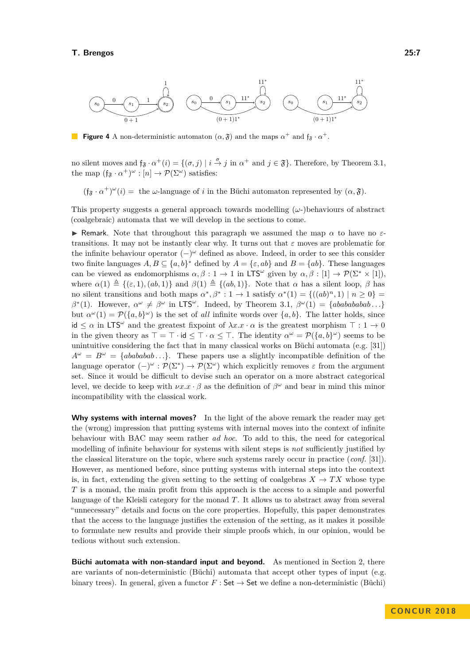

**Figure 4** A non-deterministic automaton  $(\alpha, \mathfrak{F})$  and the maps  $\alpha^+$  and  $\mathfrak{f}_{\mathfrak{F}} \cdot \alpha^+$ .

no silent moves and  $f_{\mathfrak{F}} \cdot \alpha^+(i) = \{(\sigma, j) \mid i \stackrel{\sigma}{\to} j \text{ in } \alpha^+ \text{ and } j \in \mathfrak{F}\}\.$  Therefore, by Theorem [3.1,](#page-5-0) the map  $(f_{\mathfrak{F}} \cdot \alpha^+)^\omega : [n] \to \mathcal{P}(\Sigma^\omega)$  satisfies:

 $(f_{\mathfrak{F}} \cdot \alpha^+)^\omega(i) =$  the *ω*-language of *i* in the Büchi automaton represented by  $(\alpha, \mathfrak{F})$ .

This property suggests a general approach towards modelling (*ω*-)behaviours of abstract (coalgebraic) automata that we will develop in the sections to come.

**I** Remark. Note that throughout this paragraph we assumed the map  $\alpha$  to have no  $\varepsilon$ transitions. It may not be instantly clear why. It turns out that *ε* moves are problematic for the infinite behaviour operator (−) *<sup>ω</sup>* defined as above. Indeed, in order to see this consider two finite languages  $A, B \subseteq \{a, b\}^*$  defined by  $A = \{\varepsilon, ab\}$  and  $B = \{ab\}$ . These languages can be viewed as endomorphisms  $\alpha, \beta : 1 \to 1$  in LTS<sup>ω</sup> given by  $\alpha, \beta : [1] \to \mathcal{P}(\Sigma^* \times [1]),$ where  $\alpha(1) \triangleq \{(\varepsilon, 1), (ab, 1)\}$  and  $\beta(1) \triangleq \{(ab, 1)\}$ . Note that  $\alpha$  has a silent loop,  $\beta$  has no silent transitions and both maps  $\alpha^*, \beta^* : 1 \to 1$  satisfy  $\alpha^*(1) = \{((ab)^n, 1) \mid n \ge 0\}$  $\beta^*(1)$ . However,  $\alpha^{\omega} \neq \beta^{\omega}$  in LTS<sup> $\omega$ </sup>. Indeed, by Theorem [3.1,](#page-5-0)  $\beta^{\omega}(1) = \{abababab \ldots\}$ but  $\alpha^{\omega}(1) = \mathcal{P}(\{a, b\}^{\omega})$  is the set of *all* infinite words over  $\{a, b\}$ . The latter holds, since  $id \leq \alpha$  in LTS<sup> $\omega$ </sup> and the greatest fixpoint of  $\lambda x.x \cdot \alpha$  is the greatest morphism  $\top : 1 \to 0$ in the given theory as  $\top = \top \cdot id \leq \top \cdot \alpha \leq \top$ . The identity  $\alpha^{\omega} = \mathcal{P}(\{a, b\}^{\omega})$  seems to be unintuitive considering the fact that in many classical works on Büchi automata (e.g. [\[31\]](#page-16-1))  $A^{\omega} = B^{\omega} = \{abababab... \}$ . These papers use a slightly incompatible definition of the language operator  $(-)^\omega : \mathcal{P}(\Sigma^*) \to \mathcal{P}(\Sigma^\omega)$  which explicitly removes  $\varepsilon$  from the argument set. Since it would be difficult to devise such an operator on a more abstract categorical level, we decide to keep with  $\nu x.x \cdot \beta$  as the definition of  $\beta^{\omega}$  and bear in mind this minor incompatibility with the classical work.

**Why systems with internal moves?** In the light of the above remark the reader may get the (wrong) impression that putting systems with internal moves into the context of infinite behaviour with BAC may seem rather *ad hoc*. To add to this, the need for categorical modelling of infinite behaviour for systems with silent steps is *not* sufficiently justified by the classical literature on the topic, where such systems rarely occur in practice (*conf.* [\[31\]](#page-16-1)). However, as mentioned before, since putting systems with internal steps into the context is, in fact, extending the given setting to the setting of coalgebras  $X \to TX$  whose type *T* is a monad, the main profit from this approach is the access to a simple and powerful language of the Kleisli category for the monad *T*. It allows us to abstract away from several "unnecessary" details and focus on the core properties. Hopefully, this paper demonstrates that the access to the language justifies the extension of the setting, as it makes it possible to formulate new results and provide their simple proofs which, in our opinion, would be tedious without such extension.

**Büchi automata with non-standard input and beyond.** As mentioned in Section [2,](#page-2-0) there are variants of non-deterministic (Büchi) automata that accept other types of input (e.g. binary trees). In general, given a functor  $F : \mathsf{Set} \to \mathsf{Set}$  we define a non-deterministic (Büchi)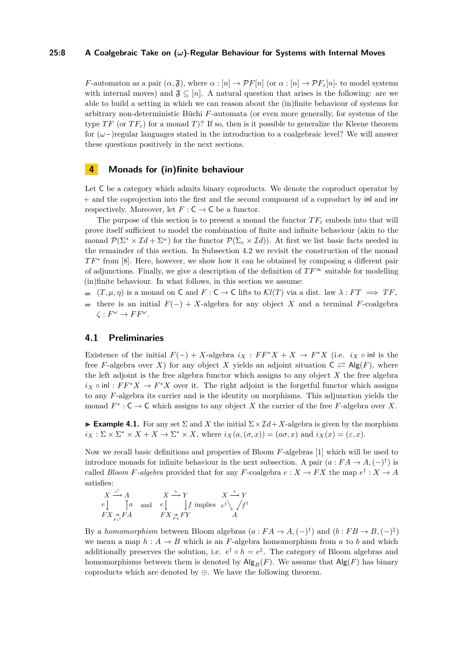#### **25:8 A Coalgebraic Take on (***ω***)-Regular Behaviour for Systems with Internal Moves**

*F*-automaton as a pair  $(\alpha, \mathfrak{F})$ , where  $\alpha : [n] \to \mathcal{P}F[n]$  (or  $\alpha : [n] \to \mathcal{P}F_{\varepsilon}[n]$ - to model systems with internal moves) and  $\mathfrak{F} \subseteq [n]$ . A natural question that arises is the following: are we able to build a setting in which we can reason about the (in)finite behaviour of systems for arbitrary non-deterministic Büchi *F*-automata (or even more generally, for systems of the type *TF* (or  $TF_{\epsilon}$ ) for a monad *T*)? If so, then is it possible to generalize the Kleene theorem for (*ω*−)regular languages stated in the introduction to a coalgebraic level? We will answer these questions positively in the next sections.

# <span id="page-7-0"></span>**4 Monads for (in)finite behaviour**

Let C be a category which admits binary coproducts. We denote the coproduct operator by + and the coprojection into the first and the second component of a coproduct by inl and inr respectively. Moreover, let  $F : C \to C$  be a functor.

The purpose of this section is to present a monad the functor  $TF_\varepsilon$  embeds into that will prove itself sufficient to model the combination of finite and infinite behaviour (akin to the monad  $\mathcal{P}(\Sigma^* \times \mathcal{I}d + \Sigma^\omega)$  for the functor  $\mathcal{P}(\Sigma_\varepsilon \times \mathcal{I}d)$ ). At first we list basic facts needed in the remainder of this section. In Subsection [4.2](#page-8-0) we revisit the construction of the monad *TF*<sup>∗</sup> from [\[8\]](#page-15-1). Here, however, we show how it can be obtained by composing a different pair of adjunctions. Finally, we give a description of the definition of  $TF^{\infty}$  suitable for modelling (in)finite behaviour. In what follows, in this section we assume:

- $($ *T,*  $\mu$ *,*  $\eta$ ) is a monad on **C** and *F* : **C**  $\rightarrow$  **C** lifts to  $\mathcal{K}l(T)$  via a dist. law  $\lambda$  : *FT*  $\implies TF$ ,
- $\blacksquare$  there is an initial  $F(-) + X$ -algebra for any object *X* and a terminal *F*-coalgebra  $\zeta : F^{\omega} \to FF^{\omega}$ .

## <span id="page-7-1"></span>**4.1 Preliminaries**

Existence of the initial  $F(-) + X$ -algebra  $i_X : FF^*X + X \to F^*X$  (i.e.  $i_X \circ \text{inl}$  is the free *F*-algebra over *X*) for any object *X* yields an adjoint situation  $C \rightleftarrows \text{Alg}(F)$ , where the left adjoint is the free algebra functor which assigns to any object *X* the free algebra  $i_X \circ \text{inl}: FF^*X \to F^*X$  over it. The right adjoint is the forgetful functor which assigns to any *F*-algebra its carrier and is the identity on morphisms. This adjunction yields the monad  $F^*$ :  $C \to C$  which assigns to any object *X* the carrier of the free *F*-algebra over *X*.

**Example 4.1.** For any set  $\Sigma$  and X the initial  $\Sigma \times \mathcal{I}d + X$ -algebra is given by the morphism  $i_X : \Sigma \times \Sigma^* \times X + X \to \Sigma^* \times X$ , where  $i_X(a, (\sigma, x)) = (a\sigma, x)$  and  $i_X(x) = (\varepsilon, x)$ .

Now we recall basic definitions and properties of Bloom *F*-algebras [\[1\]](#page-15-7) which will be used to introduce monads for infinite behaviour in the next subsection. A pair  $(a : FA \to A, (-)^{\dagger})$  is called *Bloom F*-algebra provided that for any *F*-coalgebra  $e: X \to FX$  the map  $e^{\dagger}: X \to A$ satisfies:

$$
\begin{array}{ccc}\nX \stackrel{e^{\dagger}}{\longrightarrow} A & & X \stackrel{h}{\longrightarrow} Y & X \stackrel{h}{\longrightarrow} Y \\
e & \uparrow a & \text{and} & e \downarrow & \downarrow f \text{ implies} & e^{\dagger} \searrow f^{\dagger} \\
FX \stackrel{\rightarrow}{\longrightarrow} FA & & FX \stackrel{\rightarrow}{\longrightarrow} FY & A\n\end{array}
$$

By a *homomorphism* between Bloom algebras  $(a : FA \to A, (-)^\dagger)$  and  $(b : FB \to B, (-)^\dagger)$ we mean a map  $h : A \to B$  which is an *F*-algebra homomorphism from *a* to *b* and which additionally preserves the solution, i.e.  $e^{\dagger} \circ h = e^{\ddagger}$ . The category of Bloom algebras and homomorphisms between them is denoted by  $\mathsf{Alg}_B(F)$ . We assume that  $\mathsf{Alg}(F)$  has binary coproducts which are denoted by ⊕. We have the following theorem.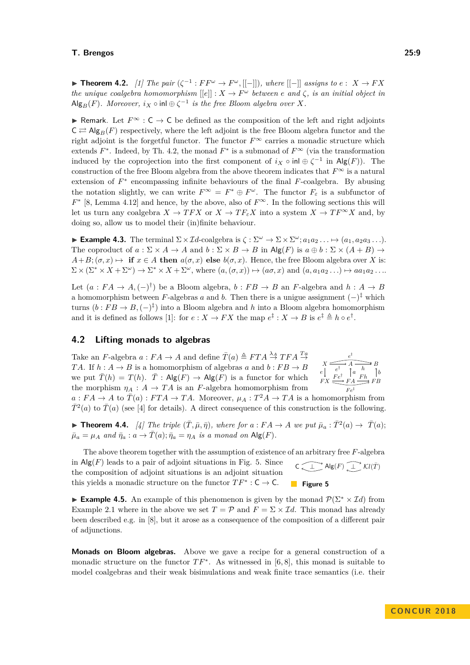<span id="page-8-1"></span>**► Theorem 4.2.** *[\[1\]](#page-15-7) The pair*  $(\zeta^{-1}: FF^{\omega} \to F^{\omega}, [[-]])$ *, where*  $[[-]]$  *assigns to e* : *X* → *FX the unique coalgebra homomorphism*  $[[e]] : X \to F^\omega$  *between*  $e$  *and*  $\zeta$ *, is an initial object in*  $\mathsf{Alg}_B(F)$ *. Moreover,*  $i_X \circ \mathsf{inl} \oplus \zeta^{-1}$  *is the free Bloom algebra over X.* 

**► Remark.** Let  $F^{\infty}$  : **C**  $\rightarrow$  **C** be defined as the composition of the left and right adjoints  $C \rightleftarrows$  Alg<sub>B</sub>(*F*) respectively, where the left adjoint is the free Bloom algebra functor and the right adjoint is the forgetful functor. The functor  $F^{\infty}$  carries a monadic structure which extends  $F^*$ . Indeed, by Th. [4.2,](#page-8-1) the monad  $F^*$  is a submonad of  $F^{\infty}$  (via the transformation induced by the coprojection into the first component of  $i_X \circ \text{inl} \oplus \zeta^{-1}$  in  $\text{Alg}(F)$ ). The construction of the free Bloom algebra from the above theorem indicates that  $F^{\infty}$  is a natural extension of  $F^*$  encompassing infinite behaviours of the final  $F$ -coalgebra. By abusing the notation slightly, we can write  $F^{\infty} = F^* \oplus F^{\omega}$ . The functor  $F_{\varepsilon}$  is a subfunctor of  $F^*$  [\[8,](#page-15-1) Lemma 4.12] and hence, by the above, also of  $F^\infty$ . In the following sections this will let us turn any coalgebra  $X \to TFX$  or  $X \to TF_{\varepsilon}X$  into a system  $X \to TF^{\infty}X$  and, by doing so, allow us to model their (in)finite behaviour.

<span id="page-8-3"></span>**Example 4.3.** The terminal  $\Sigma \times \mathcal{I}d$ -coalgebra is  $\zeta : \Sigma^{\omega} \to \Sigma \times \Sigma^{\omega}; a_1 a_2 \dots \mapsto (a_1, a_2 a_3 \dots).$ The coproduct of  $a : \Sigma \times A \to A$  and  $b : \Sigma \times B \to B$  in Alg(F) is  $a \oplus b : \Sigma \times (A + B) \to$  $A+B; (\sigma, x) \mapsto$  **if**  $x \in A$  **then**  $a(\sigma, x)$  **else**  $b(\sigma, x)$ . Hence, the free Bloom algebra over *X* is:  $\Sigma \times (\Sigma^* \times X + \Sigma^{\omega}) \rightarrow \Sigma^* \times X + \Sigma^{\omega}$ , where  $(a, (\sigma, x)) \mapsto (a\sigma, x)$  and  $(a, a_1 a_2 \dots) \mapsto a a_1 a_2 \dots$ 

Let  $(a : FA \to A, (-)^\dagger)$  be a Bloom algebra,  $b : FB \to B$  an *F*-algebra and  $h : A \to B$ a homomorphism between *F*-algebras *a* and *b*. Then there is a unigue assignment  $(-)^{\ddagger}$  which turns  $(b:FB \to B, (-)^{\ddagger})$  into a Bloom algebra and *h* into a Bloom algebra homomorphism and it is defined as follows [\[1\]](#page-15-7): for  $e : X \to FX$  the map  $e^{\ddagger} : X \to B$  is  $e^{\ddagger} \triangleq h \circ e^{\dagger}$ .

#### <span id="page-8-0"></span>**4.2 Lifting monads to algebras**

 $X \xrightarrow{f} A$  $FX \xrightarrow{Fe} FA$ *B F B e* ‡  $e \begin{pmatrix} e^{\dagger} & \uparrow a \\ -\frac{1}{a} & \uparrow a \end{pmatrix}$  $Fe^{\dagger}$  $\frac{h}{F h}$   $\int_{0}^{\infty} b$  $Fe^{\ddagger}$ Take an *F*-algebra  $a: FA \to A$  and define  $\overline{T}(a) \triangleq FTA \stackrel{\lambda_A}{\to} TFA \stackrel{T_a}{\to}$ *TA*. If  $h : A \to B$  is a homomorphism of algebras *a* and  $b : FB \to B$ we put  $\overline{T}(h) = T(h)$ .  $\overline{T}$ : Alg(*F*)  $\rightarrow$  Alg(*F*) is a functor for which the morphism  $\eta_A : A \to TA$  is an *F*-algebra homomorphism from

 $a: FA \to A$  to  $\overline{T}(a): FTA \to TA$ . Moreover,  $\mu_A: T^2A \to TA$  is a homomorphism from  $\bar{T}^2(a)$  to  $\bar{T}(a)$  (see [\[4\]](#page-15-8) for details). A direct consequence of this construction is the following.

▶ **Theorem 4.4.** [\[4\]](#page-15-8) The triple  $(\bar{T}, \bar{\mu}, \bar{\eta})$ , where for  $a : FA \to A$  we put  $\bar{\mu}_a : \bar{T}^2(a) \to \bar{T}(a)$ ;  $\bar{\mu}_a = \mu_A$  and  $\bar{\eta}_a : a \to \bar{T}(a); \bar{\eta}_a = \eta_A$  *is a monad on* Alg(*F*).

<span id="page-8-2"></span>The above theorem together with the assumption of existence of an arbitrary free *F*-algebra  $C \longrightarrow \mathsf{Alg}(F) \longrightarrow \mathcal{K}l(\bar{T})$ **Figure 5** in  $\mathsf{Alg}(F)$  leads to a pair of adjoint situations in Fig. [5.](#page-8-2) Since the composition of adjoint situations is an adjoint situation this yields a monadic structure on the functor  $TF^* : \mathsf{C} \to \mathsf{C}$ .

**Example 4.5.** An example of this phenomenon is given by the monad  $\mathcal{P}(\Sigma^* \times \mathcal{I}d)$  from Example [2.1](#page-3-0) where in the above we set  $T = \mathcal{P}$  and  $F = \Sigma \times \mathcal{I}d$ . This monad has already been described e.g. in [\[8\]](#page-15-1), but it arose as a consequence of the composition of a different pair of adjunctions.

**Monads on Bloom algebras.** Above we gave a recipe for a general construction of a monadic structure on the functor  $TF^*$ . As witnessed in [\[6,](#page-15-3)8], this monad is suitable to model coalgebras and their weak bisimulations and weak finite trace semantics (i.e. their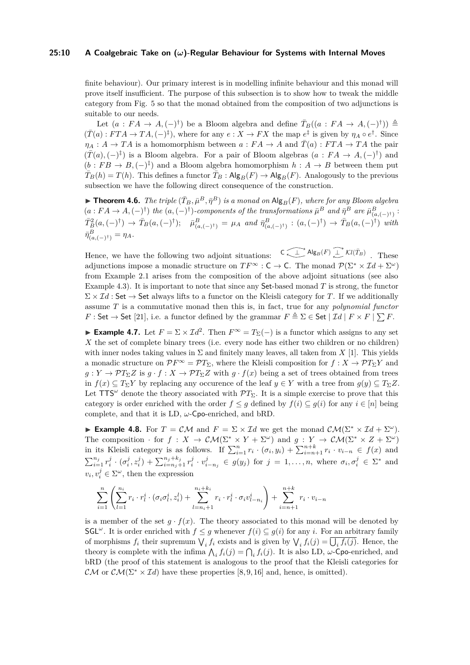#### **25:10 A Coalgebraic Take on (***ω***)-Regular Behaviour for Systems with Internal Moves**

finite behaviour). Our primary interest is in modelling infinite behaviour and this monad will prove itself insufficient. The purpose of this subsection is to show how to tweak the middle category from Fig. [5](#page-8-2) so that the monad obtained from the composition of two adjunctions is suitable to our needs.

Let  $(a : FA \to A, (-)^\dagger)$  be a Bloom algebra and define  $\overline{T}_B((a : FA \to A, (-)^\dagger)) \triangleq$  $(\overline{T}(a): FTA \to TA, (-)^{\ddagger})$ , where for any  $e: X \to FX$  the map  $e^{\ddagger}$  is given by  $\eta_A \circ e^{\dagger}$ . Since  $\eta_A : A \to TA$  is a homomorphism between  $a : FA \to A$  and  $\overline{T}(a) : FTA \to TA$  the pair  $(\bar{T}(a), (-)^{\ddagger})$  is a Bloom algebra. For a pair of Bloom algebras  $(a : FA \to A, (-)^{\dagger})$  and  $(b : FB \to B, (-)^{\ddagger})$  and a Bloom algebra homomorphism  $h : A \to B$  between them put  $\overline{T}_B(h) = T(h)$ . This defines a functor  $\overline{T}_B$  :  $\mathsf{Alg}_B(F) \to \mathsf{Alg}_B(F)$ . Analogously to the previous subsection we have the following direct consequence of the construction.

 $\blacktriangleright$  **Theorem 4.6.** *The triple*  $(\bar{T}_B, \bar{\mu}^B, \bar{\eta}^B)$  *is a monad on*  $\text{Alg}_B(F)$ *, where for any Bloom algebra*  $(a: FA \to A, (-)^\dagger)$  *the*  $(a, (-)^\dagger)$ -components of the transformations  $\bar{\mu}^B$  and  $\bar{\eta}^B$  are  $\bar{\mu}^B_{(a, (-)^\dagger)}$ :  $\bar{T}_B^2(a,(-)^\dagger) \to \bar{T}_B(a,(-)^\dagger); \quad \bar{\mu}_{(a,(-)^\dagger)}^B = \mu_A \text{ and } \bar{\eta}_{(a,(-)^\dagger)}^B : (a,(-)^\dagger) \to \bar{T}_B(a,(-)^\dagger) \text{ with }$  $\bar{\eta}_{(a,(-)^{\dagger})}^{B} = \eta_{A}.$ 

Hence, we have the following two adjoint situations:  $C \longrightarrow \mathsf{Alg}_B(F) \longrightarrow \mathcal{K}l(\bar{T}_B)$  These adjunctions impose a monadic structure on  $TF^{\infty}$  : C  $\rightarrow$  C. The monad  $\mathcal{P}(\Sigma^* \times \mathcal{I}d + \Sigma^{\omega})$ from Example [2.1](#page-3-0) arises from the composition of the above adjoint situations (see also Example [4.3\)](#page-8-3). It is important to note that since any Set-based monad *T* is strong, the functor  $\Sigma \times \mathcal{I}d$ : Set  $\rightarrow$  Set always lifts to a functor on the Kleisli category for *T*. If we additionally assume *T* is a commutative monad then this is, in fact, true for any *polynomial functor F* : Set  $\rightarrow$  Set [\[21\]](#page-16-5), i.e. a functor defined by the grammar  $F \triangleq \Sigma \in$  Set  $| \mathcal{I}d | F \times F | \sum F$ .

**Example 4.7.** Let  $F = \Sigma \times \mathcal{I}d^2$ . Then  $F^\infty = T_\Sigma(-)$  is a functor which assigns to any set *X* the set of complete binary trees (i.e. every node has either two children or no children) with inner nodes taking values in  $\Sigma$  and finitely many leaves, all taken from X [\[1\]](#page-15-7). This yields a monadic structure on  $\mathcal{P}F^{\infty} = \mathcal{P}T_{\Sigma}$ , where the Kleisli composition for  $f: X \to \mathcal{P}T_{\Sigma}Y$  and  $g: Y \to \mathcal{P}T_{\Sigma}Z$  is  $g \cdot f: X \to \mathcal{P}T_{\Sigma}Z$  with  $g \cdot f(x)$  being a set of trees obtained from trees in *f*(*x*)  $\subseteq T_{\Sigma}Y$  by replacing any occurence of the leaf  $y \in Y$  with a tree from  $g(y) \subseteq T_{\Sigma}Z$ . Let  $TTS^{\omega}$  denote the theory associated with  $\mathcal{P}T_{\Sigma}$ . It is a simple exercise to prove that this category is order enriched with the order  $f \leq g$  defined by  $f(i) \subseteq g(i)$  for any  $i \in [n]$  being complete, and that it is LD, *ω*-Cpo-enriched, and bRD.

**► Example 4.8.** For  $T = \mathcal{CM}$  and  $F = \Sigma \times \mathcal{I}d$  we get the monad  $\mathcal{CM}(\Sigma^* \times \mathcal{I}d + \Sigma^{\omega})$ . The composition · for  $f: X \to \mathcal{CM}(\Sigma^* \times Y + \Sigma^{\omega})$  and  $g: Y \to \mathcal{CM}(\Sigma^* \times Z + \Sigma^{\omega})$ in its Kleisli category is as follows. If  $\sum_{i=1}^{n} r_i \cdot (\sigma_i, y_i) + \sum_{i=n+1}^{n+k} r_i \cdot v_{i-n} \in f(x)$  and  $\sum_{i=1}^{n_j} r_i^j \cdot (\sigma_i^j, z_i^j) + \sum_{i=n_j+1}^{n_j+k_j} r_i^j \cdot v_{i-n_j}^j \in g(y_j)$  for  $j = 1, ..., n$ , where  $\sigma_i, \sigma_i^j \in \Sigma^*$  and  $v_i, v_i^j \in \Sigma^\omega$ , then the expression

$$
\sum_{i=1}^{n} \left( \sum_{l=1}^{n_i} r_i \cdot r_l^i \cdot (\sigma_i \sigma_l^i, z_i^l) + \sum_{l=n_i+1}^{n_i+k_i} r_i \cdot r_l^i \cdot \sigma_i v_{l-n_i}^i \right) + \sum_{i=n+1}^{n+k} r_i \cdot v_{i-n_i}
$$

is a member of the set  $g \cdot f(x)$ . The theory associated to this monad will be denoted by SGL<sup> $\omega$ </sup>. It is order enriched with  $f \leq g$  whenever  $f(i) \subseteq g(i)$  for any *i*. For an arbitrary family of morphisms  $f_i$  their supremum  $\bigvee_i f_i$  exists and is given by  $\bigvee_i f_i(j) = \bigcup_i f_i(j)$ . Hence, the theory is complete with the infima  $\bigwedge_i f_i(j) = \bigcap_i f_i(j)$ . It is also LD, *ω*-Cpo-enriched, and bRD (the proof of this statement is analogous to the proof that the Kleisli categories for CM or  $\mathcal{CM}(\Sigma^* \times \mathcal{I}d)$  have these properties [\[8,](#page-15-1)9,16] and, hence, is omitted).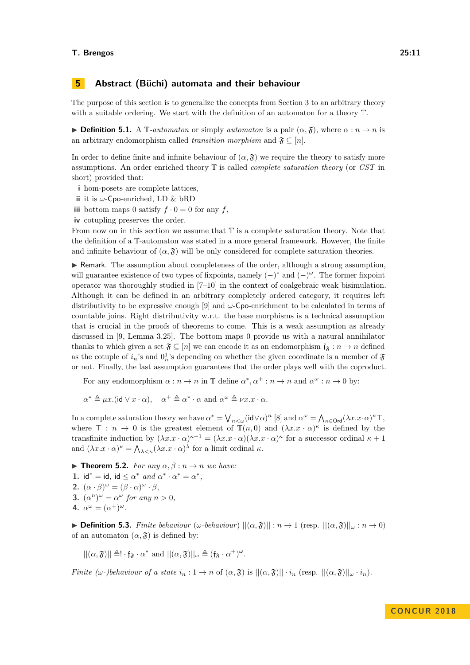# <span id="page-10-0"></span>**5 Abstract (Büchi) automata and their behaviour**

The purpose of this section is to generalize the concepts from Section [3](#page-4-0) to an arbitrary theory with a suitable ordering. We start with the definition of an automaton for a theory T.

**► Definition 5.1.** A  $\mathbb{T}$ -*automaton* or simply *automaton* is a pair  $(\alpha, \mathfrak{F})$ , where  $\alpha : n \to n$  is an arbitrary endomorphism called *transition morphism* and  $\mathfrak{F} \subseteq [n]$ .

In order to define finite and infinite behaviour of  $(\alpha, \mathfrak{F})$  we require the theory to satisfy more assumptions. An order enriched theory T is called *complete saturation theory* (or *CST* in short) provided that:

- **i** hom-posets are complete lattices,
- **ii** it is *ω*-Cpo-enriched, LD & bRD
- **iii** bottom maps 0 satisfy  $f \cdot 0 = 0$  for any *f*,
- **iv** cotupling preserves the order.

From now on in this section we assume that  $\mathbb T$  is a complete saturation theory. Note that the definition of a T-automaton was stated in a more general framework. However, the finite and infinite behaviour of  $(\alpha, \mathfrak{F})$  will be only considered for complete saturation theories.

 $\triangleright$  Remark. The assumption about completeness of the order, although a strong assumption, will guarantee existence of two types of fixpoints, namely (−) <sup>∗</sup> and (−) *<sup>ω</sup>*. The former fixpoint operator was thoroughly studied in [\[7](#page-15-6)[–10\]](#page-15-4) in the context of coalgebraic weak bisimulation. Although it can be defined in an arbitrary completely ordered category, it requires left distributivity to be expressive enough [\[9\]](#page-15-5) and *ω*-Cpo-enrichment to be calculated in terms of countable joins. Right distributivity w.r.t. the base morphisms is a technical assumption that is crucial in the proofs of theorems to come. This is a weak assumption as already discussed in [\[9,](#page-15-5) Lemma 3.25]. The bottom maps 0 provide us with a natural annihilator thanks to which given a set  $\mathfrak{F} \subseteq [n]$  we can encode it as an endomorphism  $f_{\mathfrak{F}} : n \to n$  defined as the cotuple of  $i_n$ 's and  $0_n^1$ 's depending on whether the given coordinate is a member of  $\mathfrak F$ or not. Finally, the last assumption guarantees that the order plays well with the coproduct.

For any endomorphism  $\alpha : n \to n$  in T define  $\alpha^*, \alpha^+ : n \to n$  and  $\alpha^{\omega} : n \to 0$  by:

 $\alpha^* \triangleq \mu x.$  (id  $\vee x \cdot \alpha$ ),  $\alpha^+ \triangleq \alpha^* \cdot \alpha$  and  $\alpha^{\omega} \triangleq \nu x. x \cdot \alpha$ .

In a complete saturation theory we have  $\alpha^* = \bigvee_{n < \omega} (\mathsf{id} \vee \alpha)^n$  [\[8\]](#page-15-1) and  $\alpha^{\omega} = \bigwedge_{\kappa \in \mathsf{Ord}} (\lambda x. x \cdot \alpha)^{\kappa} \top$ , where  $\top : n \to 0$  is the greatest element of  $\mathbb{T}(n,0)$  and  $(\lambda x.x \cdot \alpha)^k$  is defined by the transfinite induction by  $(\lambda x \cdot x \cdot \alpha)^{\kappa+1} = (\lambda x \cdot x \cdot \alpha)(\lambda x \cdot x \cdot \alpha)^{\kappa}$  for a successor ordinal  $\kappa + 1$ and  $(\lambda x.x \cdot \alpha)^{\kappa} = \bigwedge_{\lambda \leq \kappa} (\lambda x.x \cdot \alpha)^{\lambda}$  for a limit ordinal  $\kappa$ .

<span id="page-10-1"></span>**Find Theorem 5.2.** *For any*  $\alpha, \beta : n \to n$  *we have:* **1.** id<sup>\*</sup> = id, id  $\leq \alpha^*$  *and*  $\alpha^* \cdot \alpha^* = \alpha^*$ , **2.**  $(\alpha \cdot \beta)^{\omega} = (\beta \cdot \alpha)^{\omega} \cdot \beta$ , **3.**  $(\alpha^n)^{\omega} = \alpha^{\omega}$  for any  $n > 0$ , 4.  $\alpha^{\omega} = (\alpha^+)^{\omega}$ .

**Definition 5.3.** *Finite behaviour* ( $\omega$ *-behaviour*)  $||(\alpha, \hat{\beta})|| : n \rightarrow 1$  (resp.  $||(\alpha, \hat{\beta})||_{\omega} : n \rightarrow 0$ ) of an automaton  $(\alpha, \mathfrak{F})$  is defined by:

 $||(\alpha, \mathfrak{F})|| \triangleq \cdot f_{\mathfrak{F}} \cdot \alpha^*$  and  $||(\alpha, \mathfrak{F})||_{\omega} \triangleq (f_{\mathfrak{F}} \cdot \alpha^+)^{\omega}$ .

*Finite (ω-)behaviour of a state*  $i_n : 1 \to n$  of  $(\alpha, \mathfrak{F})$  is  $||(\alpha, \mathfrak{F})|| \cdot i_n$  (resp.  $||(\alpha, \mathfrak{F})||_{\omega} \cdot i_n$ ).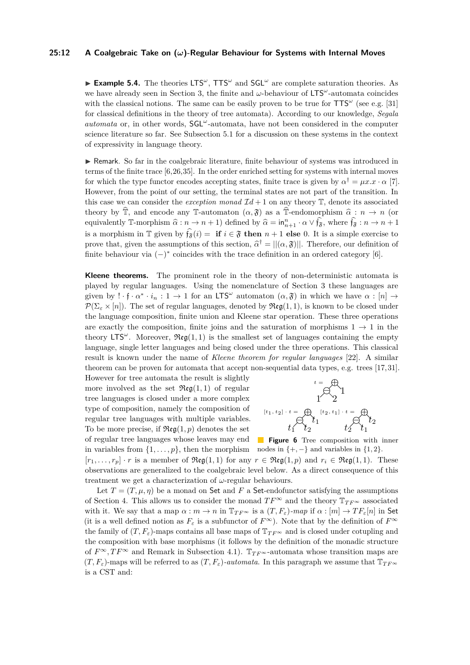#### **25:12 A Coalgebraic Take on (***ω***)-Regular Behaviour for Systems with Internal Moves**

**Example 5.4.** The theories LTS<sup>ω</sup>, TTS<sup>ω</sup> and SGL<sup>ω</sup> are complete saturation theories. As we have already seen in Section [3,](#page-4-0) the finite and *ω*-behaviour of LTS*<sup>ω</sup>* -automata coincides with the classical notions. The same can be easily proven to be true for  $TTS^{\omega}$  (see e.g. [\[31\]](#page-16-1) for classical definitions in the theory of tree automata). According to our knowledge, *Segala automata* or, in other words, SGL*<sup>ω</sup>* -automata, have not been considered in the computer science literature so far. See Subsection [5.1](#page-13-0) for a discussion on these systems in the context of expressivity in language theory.

 $\triangleright$  Remark. So far in the coalgebraic literature, finite behaviour of systems was introduced in terms of the finite trace [\[6,](#page-15-3)[26,](#page-16-16)[35\]](#page-17-1). In the order enriched setting for systems with internal moves for which the type functor encodes accepting states, finite trace is given by  $\alpha^{\dagger} = \mu x . x \cdot \alpha$  [\[7\]](#page-15-6). However, from the point of our setting, the terminal states are not part of the transition. In this case we can consider the *exception monad*  $\mathcal{I}d + 1$  on any theory  $\mathbb{T}$ , denote its associated theory by  $\hat{\mathbb{T}}$ , and encode any T-automaton  $(\alpha, \mathfrak{F})$  as a  $\hat{\mathbb{T}}$ -endomorphism  $\hat{\alpha} : n \to n$  (or equivalently T-morphism  $\hat{\alpha}: n \to n+1$ ) defined by  $\hat{\alpha} = \mathsf{in}_{n+1}^n \cdot \alpha \vee \hat{\mathsf{f}_\mathfrak{F}}$ , where  $\hat{\mathsf{f}_\mathfrak{F}} : n \to n+1$ is a morphism in  $\mathbb{T}$  given by  $\hat{\mathfrak{f}_s}(i) = \mathbf{if } i \in \mathfrak{F}$  then  $n + 1$  else 0. It is a simple exercise to prove that, given the assumptions of this section,  $\hat{\alpha}^{\dagger} = ||(\alpha, \hat{\mathbf{y}})||$ . Therefore, our definition of finite behaviour via  $(-)$ <sup>\*</sup> coincides with the trace definition in an ordered category [\[6\]](#page-15-3).

**Kleene theorems.** The prominent role in the theory of non-deterministic automata is played by regular languages. Using the nomenclature of Section [3](#page-4-0) these languages are given by  $\cdot \cdot \cdot \cdot \cdot i_n : 1 \to 1$  for an LTS<sup>ω</sup> automaton  $(\alpha, \mathfrak{F})$  in which we have  $\alpha : [n] \to$  $\mathcal{P}(\Sigma_{\varepsilon} \times [n])$ . The set of regular languages, denoted by  $\mathfrak{Reg}(1,1)$ , is known to be closed under the language composition, finite union and Kleene star operation. These three operations are exactly the composition, finite joins and the saturation of morphisms  $1 \rightarrow 1$  in the theory  $LTS^{\omega}$ . Moreover,  $\Re\mathfrak{g}(1,1)$  is the smallest set of languages containing the empty language, single letter languages and being closed under the three operations. This classical result is known under the name of *Kleene theorem for regular languages* [\[22\]](#page-16-0). A similar theorem can be proven for automata that accept non-sequential data types, e.g. trees [\[17,](#page-16-2) [31\]](#page-16-1).

However for tree automata the result is slightly more involved as the set  $\mathfrak{Reg}(1,1)$  of regular tree languages is closed under a more complex type of composition, namely the composition of regular tree languages with multiple variables. To be more precise, if  $\mathfrak{Reg}(1,p)$  denotes the set of regular tree languages whose leaves may end in variables from  $\{1, \ldots, p\}$ , then the morphism



**Figure 6** Tree composition with inner nodes in  $\{+, -\}$  and variables in  $\{1, 2\}.$ 

 $[r_1, \ldots, r_p] \cdot r$  is a member of  $\mathfrak{Reg}(1,1)$  for any  $r \in \mathfrak{Reg}(1,p)$  and  $r_i \in \mathfrak{Reg}(1,1)$ . These observations are generalized to the coalgebraic level below. As a direct consequence of this treatment we get a characterization of *ω*-regular behaviours.

Let  $T = (T, \mu, \eta)$  be a monad on Set and F a Set-endofunctor satisfying the assumptions of Section [4.](#page-7-0) This allows us to consider the monad  $TF^{\infty}$  and the theory  $\mathbb{T}_{TF^{\infty}}$  associated with it. We say that a map  $\alpha : m \to n$  in  $\mathbb{T}_{TF^{\infty}}$  is a  $(T, F_{\varepsilon})$ *-map* if  $\alpha : [m] \to TF_{\varepsilon}[n]$  in Set (it is a well defined notion as  $F_{\varepsilon}$  is a subfunctor of  $F^{\infty}$ ). Note that by the definition of  $F^{\infty}$ the family of  $(T, F_{\varepsilon})$ -maps contains all base maps of  $\mathbb{T}_{TF^{\infty}}$  and is closed under cotupling and the composition with base morphisms (it follows by the definition of the monadic structure of  $F^{\infty}, TF^{\infty}$  and Remark in Subsection [4.1\)](#page-7-1).  $T_{TF^{\infty}}$ -automata whose transition maps are  $(T, F_{\varepsilon})$ -maps will be referred to as  $(T, F_{\varepsilon})$ -*automata*. In this paragraph we assume that  $\mathbb{T}_{TF^{\infty}}$ is a CST and: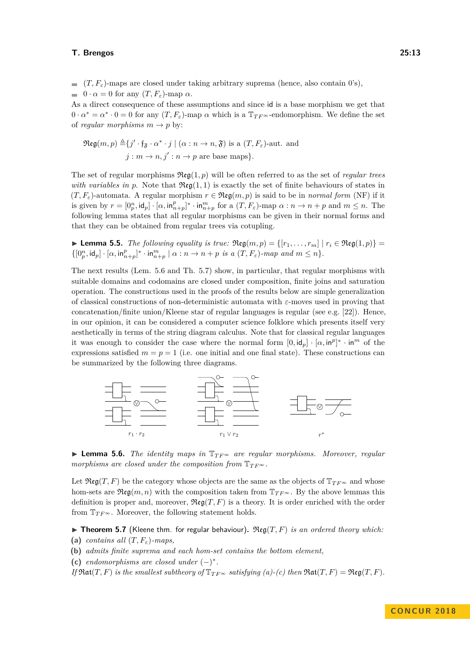$(f, F_{\varepsilon})$ -maps are closed under taking arbitrary suprema (hence, also contain 0's),  $\bullet$  0 ·  $\alpha = 0$  for any  $(T, F_{\varepsilon})$ -map  $\alpha$ .

As a direct consequence of these assumptions and since id is a base morphism we get that  $0 \cdot \alpha^* = \alpha^* \cdot 0 = 0$  for any  $(T, F_\varepsilon)$ -map  $\alpha$  which is a  $\mathbb{T}_{TF^{\infty}}$ -endomorphism. We define the set of *regular morphisms*  $m \rightarrow p$  by:

$$
\mathfrak{Reg}(m, p) \triangleq \{j' \cdot \mathfrak{f}_{\mathfrak{F}} \cdot \alpha^* \cdot j \mid (\alpha : n \to n, \mathfrak{F}) \text{ is a } (T, F_{\varepsilon})\text{-aut. and}
$$
  

$$
j: m \to n, j': n \to p \text{ are base maps}\}.
$$

The set of regular morphisms Reg(1*, p*) will be often referred to as the set of *regular trees with variables in p.* Note that  $\mathfrak{Reg}(1,1)$  is exactly the set of finite behaviours of states in  $(T, F_{\varepsilon})$ -automata. A regular morphism  $r \in \mathfrak{Reg}(m, p)$  is said to be in *normal form* (NF) if it is given by  $r = [0_p^n, \text{id}_p] \cdot [\alpha, \text{in}_{n+p}^p]^* \cdot \text{in}_{n+p}^m$  for a  $(T, F_{\varepsilon})$ -map  $\alpha : n \to n+p$  and  $m \leq n$ . The following lemma states that all regular morphisms can be given in their normal forms and that they can be obtained from regular trees via cotupling.

**► Lemma 5.5.** *The following equality is true:*  $\mathfrak{Reg}(m, p) = \{[r_1, \ldots, r_m] \mid r_i \in \mathfrak{Reg}(1, p)\}$  $\{[0^n_p,\mathsf{id}_p]\cdot[\alpha,\mathsf{in}^p_{n+p}]^*\cdot\mathsf{in}^m_{n+p}\mid \alpha:n\to n+p\text{ is a }(T,F_\varepsilon)\text{-}map\text{ and }m\leq n\}.$ 

The next results (Lem. [5.6](#page-12-0) and Th. [5.7\)](#page-12-1) show, in particular, that regular morphisms with suitable domains and codomains are closed under composition, finite joins and saturation operation. The constructions used in the proofs of the results below are simple generalization of classical constructions of non-deterministic automata with *ε*-moves used in proving that concatenation/finite union/Kleene star of regular languages is regular (see e.g. [\[22\]](#page-16-0)). Hence, in our opinion, it can be considered a computer science folklore which presents itself very aesthetically in terms of the string diagram calculus. Note that for classical regular languages it was enough to consider the case where the normal form  $[0, id_p] \cdot [\alpha, in^p]^* \cdot in^m$  of the expressions satisfied  $m = p = 1$  (i.e. one initial and one final state). These constructions can be summarized by the following three diagrams.



<span id="page-12-0"></span>I **Lemma 5.6.** *The identity maps in* T*T F*<sup>∞</sup> *are regular morphisms. Moreover, regular morphisms are closed under the composition from*  $\mathbb{T}_{TF^{\infty}}$ *.* 

Let  $\mathfrak{Reg}(T, F)$  be the category whose objects are the same as the objects of  $\mathbb{T}_{TF^{\infty}}$  and whose hom-sets are  $\Re{\text{eg}(m, n)}$  with the composition taken from  $\mathbb{T}_{TF^{\infty}}$ . By the above lemmas this definition is proper and, moreover,  $\Re \mathfrak{eg}(T, F)$  is a theory. It is order enriched with the order from  $\mathbb{T}_{TF^{\infty}}$ . Moreover, the following statement holds.

<span id="page-12-1"></span>**Findom 5.7** (Kleene thm. for regular behaviour).  $\mathfrak{Reg}(T, F)$  *is an ordered theory which:* 

- <span id="page-12-2"></span>**(a)** *contains all* (*T, Fε*)*-maps,*
- **(b)** *admits finite suprema and each hom-set contains the bottom element,*
- <span id="page-12-3"></span>(c) *endomorphisms* are closed under  $(-)^*$ .

*If*  $\mathfrak{Rat}(T, F)$  *is the smallest subtheory of*  $\mathbb{T}_{TF^{\infty}}$  *satisfying [\(a\)](#page-12-2)-[\(c\)](#page-12-3) then*  $\mathfrak{Rat}(T, F) = \mathfrak{Reg}(T, F)$ *.*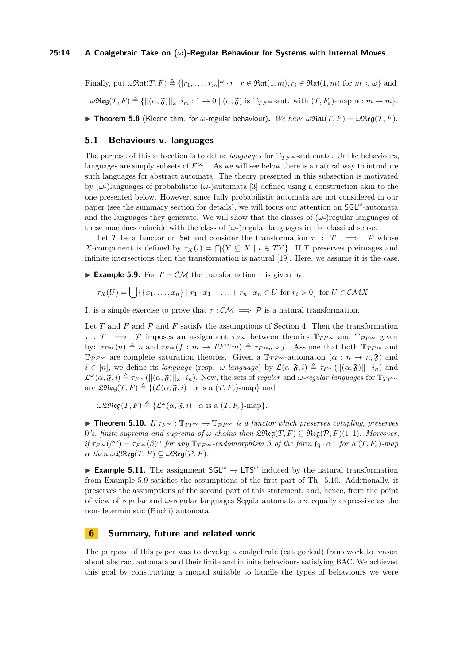Finally, put  $\omega \mathfrak{Rat}(T, F) \triangleq \{[r_1, \ldots, r_m]^\omega \cdot r \mid r \in \mathfrak{Rat}(1, m), r_i \in \mathfrak{Rat}(1, m) \text{ for } m < \omega\}$  and  $\omega \mathfrak{Reg}(T, F) \triangleq \{||(\alpha, \mathfrak{F})||_{\omega} \cdot i_m : 1 \to 0 \mid (\alpha, \mathfrak{F}) \text{ is } \mathbb{T}_{TF^{\infty}}\text{-aut. with } (T, F_{\varepsilon})\text{-map } \alpha : m \to m\}.$ **I Theorem 5.8** (Kleene thm. for  $\omega$ -regular behaviour). We have  $\omega \Re \text{at}(T, F) = \omega \Re \text{eq}(T, F)$ .

## <span id="page-13-3"></span><span id="page-13-0"></span>**5.1 Behaviours v. languages**

The purpose of this subsection is to define *languages* for  $T_{TF^{\infty}}$ -automata. Unlike behaviours, languages are simply subsets of  $F^{\infty}$ 1. As we will see below there is a natural way to introduce such languages for abstract automata. The theory presented in this subsection is motivated by (*ω*-)languages of probabilistic (*ω*-)automata [\[3\]](#page-15-9) defined using a construction akin to the one presented below. However, since fully probabilistic automata are not considered in our paper (see the summary section for details), we will focus our attention on SGL*<sup>ω</sup>* -automata and the languages they generate. We will show that the classes of  $(\omega)$ -regular languages of these machines coincide with the class of  $(\omega)$ -)regular languages in the classical sense.

Let *T* be a functor on Set and consider the transformation  $\tau : T \implies \mathcal{P}$  whose *X*-component is defined by  $\tau_X(t) = \bigcap \{ Y \subseteq X \mid t \in TY \}$ . If *T* preserves preimages and infinite intersections then the transformation is natural [\[19\]](#page-16-17). Here, we assume it is the case.

<span id="page-13-1"></span>**Example 5.9.** For  $T = \mathcal{CM}$  the transformation  $\tau$  is given by:

$$
\tau_X(U) = \bigcup \{ \{x_1, \ldots, x_n\} \mid r_1 \cdot x_1 + \ldots + r_n \cdot x_n \in U \text{ for } r_i > 0 \} \text{ for } U \in \mathcal{CM}X.
$$

It is a simple exercise to prove that  $\tau : \mathcal{CM} \implies \mathcal{P}$  is a natural transformation.

Let *T* and *F* and  $\mathcal P$  and *F* satisfy the assumptions of Section [4.](#page-7-0) Then the transformation  $\tau$  : *T*  $\implies$  *P* imposes an assignment  $\tau_{F^\infty}$  between theories  $\mathbb{T}_{TF^\infty}$  and  $\mathbb{T}_{PF^\infty}$  given by:  $\tau_{F^\infty}(n) \triangleq n$  and  $\tau_{F^\infty}(f : m \to TF^\infty m) \triangleq \tau_{F^\infty n} \circ f$ . Assume that both  $\mathbb{T}_{TF^\infty}$  and  $\mathbb{T}_{PF^{\infty}}$  are complete saturation theories. Given a  $\mathbb{T}_{TF^{\infty}}$ -automaton  $(\alpha : n \to n, \mathfrak{F})$  and  $i \in [n]$ , we define its *language* (resp. *ω-language*) by  $\mathcal{L}(\alpha, \mathfrak{F}, i) \triangleq \tau_{F^{\infty}}(||[(\alpha, \mathfrak{F})|| \cdot i_n)$  and  $\mathcal{L}^{\omega}(\alpha,\mathfrak{F},i) \triangleq \tau_{F^{\infty}}(||(\alpha,\mathfrak{F})||_{\omega} \cdot i_n)$ . Now, the sets of *regular* and  $\omega$ -*regular languages* for  $\mathbb{T}_{TF^{\infty}}$ are  $\mathfrak{L} \mathfrak{Reg}(T, F) \triangleq \{(\mathcal{L}(\alpha, \mathfrak{F}, i) \mid \alpha \text{ is a } (T, F_{\varepsilon})\text{-map}\}\$ and

 $\omega$ LReg(*T, F*)  $\triangleq$  { $\mathcal{L}^{\omega}(\alpha, \mathfrak{F}, i) | \alpha$  is a  $(T, F_{\varepsilon})$ -map}*.* 

<span id="page-13-2"></span>**► Theorem 5.10.** *If*  $\tau_F \in \mathbb{T}_{TF} \infty$  →  $\mathbb{T}_{PF} \infty$  *is a functor which preserves cotupling, preserves* 0's, finite suprema and suprema of  $\omega$ -chains then  $\mathfrak{LReg}(T, F) \subseteq \mathfrak{Reg}(\mathcal{P}, F)(1, 1)$ *. Moreover,*  $if \tau_{F^\infty}(\beta^\omega) = \tau_{F^\infty}(\beta)^\omega$  *for any*  $\mathbb{T}_{TF^\infty}$ *-endomorphism*  $\beta$  *of the form*  $f_{\mathfrak{F}} \cdot \alpha^+$  *for a*  $(T, F_\varepsilon)$ *-map*  $α$  *then*  $ω$  $\mathfrak{L}$ Reg(*T*, *F*)  $\subseteq$   $ω$ Reg(*P*, *F*).

**Example 5.11.** The assignment  $\mathsf{SGL}^{\omega} \to \mathsf{LTS}^{\omega}$  induced by the natural transformation from Example [5.9](#page-13-1) satisfies the assumptions of the first part of Th. [5.10.](#page-13-2) Additionally, it preserves the assumptions of the second part of this statement, and, hence, from the point of view of regular and *ω*-regular languages Segala automata are equally expressive as the non-deterministic (Büchi) automata.

# **6 Summary, future and related work**

The purpose of this paper was to develop a coalgebraic (categorical) framework to reason about abstract automata and their finite and infinite behaviours satisfying BAC. We achieved this goal by constructing a monad suitable to handle the types of behaviours we were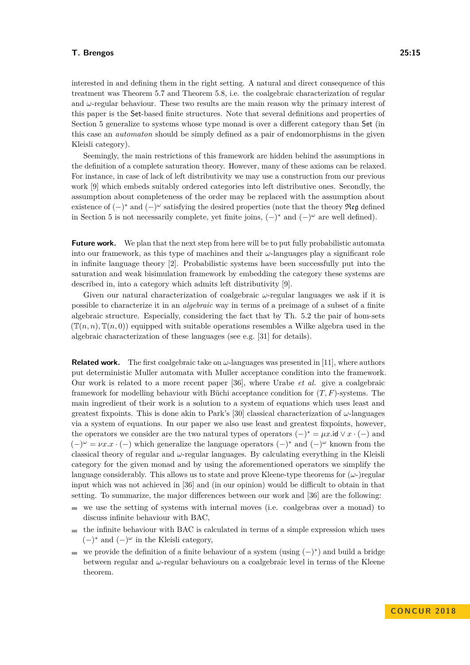interested in and defining them in the right setting. A natural and direct consequence of this treatment was Theorem [5.7](#page-12-1) and Theorem [5.8,](#page-13-3) i.e. the coalgebraic characterization of regular and  $\omega$ -regular behaviour. These two results are the main reason why the primary interest of this paper is the Set-based finite structures. Note that several definitions and properties of Section [5](#page-10-0) generalize to systems whose type monad is over a different category than Set (in this case an *automaton* should be simply defined as a pair of endomorphisms in the given Kleisli category).

Seemingly, the main restrictions of this framework are hidden behind the assumptions in the definition of a complete saturation theory. However, many of these axioms can be relaxed. For instance, in case of lack of left distributivity we may use a construction from our previous work [\[9\]](#page-15-5) which embeds suitably ordered categories into left distributive ones. Secondly, the assumption about completeness of the order may be replaced with the assumption about existence of  $(-)^*$  and  $(-)^\omega$  satisfying the desired properties (note that the theory Reg defined in Section [5](#page-10-0) is not necessarily complete, yet finite joins,  $(-)^*$  and  $(-)^\omega$  are well defined).

**Future work.** We plan that the next step from here will be to put fully probabilistic automata into our framework, as this type of machines and their *ω*-languages play a significant role in infinite language theory [\[2\]](#page-15-10). Probabilistic systems have been successfully put into the saturation and weak bisimulation framework by embedding the category these systems are described in, into a category which admits left distributivity [\[9\]](#page-15-5).

Given our natural characterization of coalgebraic *ω*-regular languages we ask if it is possible to characterize it in an *algebraic* way in terms of a preimage of a subset of a finite algebraic structure. Especially, considering the fact that by Th. [5.2](#page-10-1) the pair of hom-sets  $(\mathbb{T}(n, n), \mathbb{T}(n, 0))$  equipped with suitable operations resembles a Wilke algebra used in the algebraic characterization of these languages (see e.g. [\[31\]](#page-16-1) for details).

**Related work.** The first coalgebraic take on  $\omega$ -languages was presented in [\[11\]](#page-15-0), where authors put deterministic Muller automata with Muller acceptance condition into the framework. Our work is related to a more recent paper [\[36\]](#page-17-2), where Urabe *et al.* give a coalgebraic framework for modelling behaviour with Büchi acceptance condition for (*T, F*)-systems. The main ingredient of their work is a solution to a system of equations which uses least and greatest fixpoints. This is done akin to Park's [\[30\]](#page-16-7) classical characterization of *ω*-languages via a system of equations. In our paper we also use least and greatest fixpoints, however, the operators we consider are the two natural types of operators  $(-)^* = \mu x \cdot id \vee x \cdot (-)$  and  $(-)^{\omega} = \nu x \cdot x \cdot (-)$  which generalize the language operators  $(-)^{*}$  and  $(-)^{\omega}$  known from the classical theory of regular and *ω*-regular languages. By calculating everything in the Kleisli category for the given monad and by using the aforementioned operators we simplify the language considerably. This allows us to state and prove Kleene-type theorems for (*ω*-)regular input which was not achieved in [\[36\]](#page-17-2) and (in our opinion) would be difficult to obtain in that setting. To summarize, the major differences between our work and [\[36\]](#page-17-2) are the following:

- $\blacksquare$  we use the setting of systems with internal moves (i.e. coalgebras over a monad) to discuss infinite behaviour with BAC,
- $\blacksquare$  the infinite behaviour with BAC is calculated in terms of a simple expression which uses  $(-)$ <sup>\*</sup> and  $(-)$ <sup>ω</sup> in the Kleisli category,
- we provide the definition of a finite behaviour of a system (using  $(-)^*$ ) and build a bridge between regular and  $\omega$ -regular behaviours on a coalgebraic level in terms of the Kleene theorem.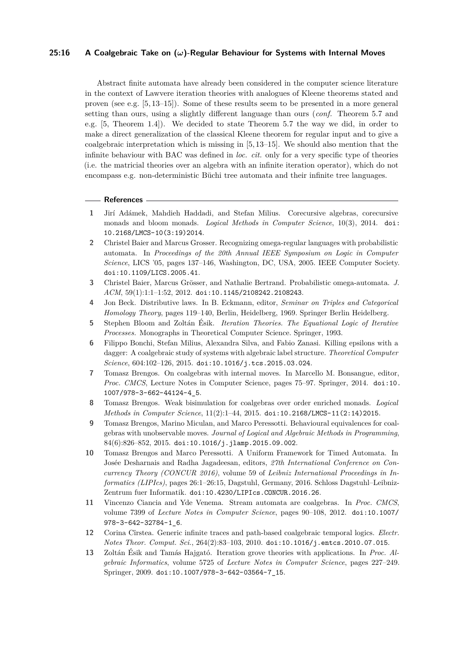## **25:16 A Coalgebraic Take on (***ω***)-Regular Behaviour for Systems with Internal Moves**

Abstract finite automata have already been considered in the computer science literature in the context of Lawvere iteration theories with analogues of Kleene theorems stated and proven (see e.g. [\[5,](#page-15-11) [13](#page-15-12)[–15\]](#page-16-18)). Some of these results seem to be presented in a more general setting than ours, using a slightly different language than ours (*conf.* Theorem [5.7](#page-12-1) and e.g. [\[5,](#page-15-11) Theorem 1.4]). We decided to state Theorem [5.7](#page-12-1) the way we did, in order to make a direct generalization of the classical Kleene theorem for regular input and to give a coalgebraic interpretation which is missing in [\[5,](#page-15-11) [13](#page-15-12)[–15\]](#page-16-18). We should also mention that the infinite behaviour with BAC was defined in *loc. cit.* only for a very specific type of theories (i.e. the matricial theories over an algebra with an infinite iteration operator), which do not encompass e.g. non-deterministic Büchi tree automata and their infinite tree languages.

#### **References**

- <span id="page-15-7"></span>**1** Jirí Adámek, Mahdieh Haddadi, and Stefan Milius. Corecursive algebras, corecursive monads and bloom monads. *Logical Methods in Computer Science*, 10(3), 2014. [doi:](http://dx.doi.org/10.2168/LMCS-10(3:19)2014) [10.2168/LMCS-10\(3:19\)2014](http://dx.doi.org/10.2168/LMCS-10(3:19)2014).
- <span id="page-15-10"></span>**2** Christel Baier and Marcus Grosser. Recognizing omega-regular languages with probabilistic automata. In *Proceedings of the 20th Annual IEEE Symposium on Logic in Computer Science*, LICS '05, pages 137–146, Washington, DC, USA, 2005. IEEE Computer Society. [doi:10.1109/LICS.2005.41](http://dx.doi.org/10.1109/LICS.2005.41).
- <span id="page-15-9"></span>**3** Christel Baier, Marcus Grösser, and Nathalie Bertrand. Probabilistic omega-automata. *J. ACM*, 59(1):1:1–1:52, 2012. [doi:10.1145/2108242.2108243](http://dx.doi.org/10.1145/2108242.2108243).
- <span id="page-15-8"></span>**4** Jon Beck. Distributive laws. In B. Eckmann, editor, *Seminar on Triples and Categorical Homology Theory*, pages 119–140, Berlin, Heidelberg, 1969. Springer Berlin Heidelberg.
- <span id="page-15-11"></span>**5** Stephen Bloom and Zoltán Ésik. *Iteration Theories. The Equational Logic of Iterative Processes.* Monographs in Theoretical Computer Science. Springer, 1993.
- <span id="page-15-3"></span>**6** Filippo Bonchi, Stefan Milius, Alexandra Silva, and Fabio Zanasi. Killing epsilons with a dagger: A coalgebraic study of systems with algebraic label structure. *Theoretical Computer Science*, 604:102–126, 2015. [doi:10.1016/j.tcs.2015.03.024](http://dx.doi.org/10.1016/j.tcs.2015.03.024).
- <span id="page-15-6"></span>**7** Tomasz Brengos. On coalgebras with internal moves. In Marcello M. Bonsangue, editor, *Proc. CMCS*, Lecture Notes in Computer Science, pages 75–97. Springer, 2014. [doi:10.](http://dx.doi.org/10.1007/978-3-662-44124-4_5) [1007/978-3-662-44124-4\\_5](http://dx.doi.org/10.1007/978-3-662-44124-4_5).
- <span id="page-15-1"></span>**8** Tomasz Brengos. Weak bisimulation for coalgebras over order enriched monads. *Logical Methods in Computer Science*, 11(2):1–44, 2015. [doi:10.2168/LMCS-11\(2:14\)2015](http://dx.doi.org/10.2168/LMCS-11(2:14)2015).
- <span id="page-15-5"></span>**9** Tomasz Brengos, Marino Miculan, and Marco Peressotti. Behavioural equivalences for coalgebras with unobservable moves. *Journal of Logical and Algebraic Methods in Programming*,  $84(6):826-852, 2015.$  [doi:10.1016/j.jlamp.2015.09.002](http://dx.doi.org/10.1016/j.jlamp.2015.09.002).
- <span id="page-15-4"></span>**10** Tomasz Brengos and Marco Peressotti. A Uniform Framework for Timed Automata. In Josée Desharnais and Radha Jagadeesan, editors, *27th International Conference on Concurrency Theory (CONCUR 2016)*, volume 59 of *Leibniz International Proceedings in Informatics (LIPIcs)*, pages 26:1–26:15, Dagstuhl, Germany, 2016. Schloss Dagstuhl–Leibniz-Zentrum fuer Informatik. [doi:10.4230/LIPIcs.CONCUR.2016.26](http://dx.doi.org/10.4230/LIPIcs.CONCUR.2016.26).
- <span id="page-15-0"></span>**11** Vincenzo Ciancia and Yde Venema. Stream automata are coalgebras. In *Proc. CMCS*, volume 7399 of *Lecture Notes in Computer Science*, pages 90–108, 2012. [doi:10.1007/](http://dx.doi.org/10.1007/978-3-642-32784-1_6) [978-3-642-32784-1\\_6](http://dx.doi.org/10.1007/978-3-642-32784-1_6).
- <span id="page-15-2"></span>**12** Corina Cîrstea. Generic infinite traces and path-based coalgebraic temporal logics. *Electr. Notes Theor. Comput. Sci.*, 264(2):83–103, 2010. [doi:10.1016/j.entcs.2010.07.015](http://dx.doi.org/10.1016/j.entcs.2010.07.015).
- <span id="page-15-12"></span>**13** Zoltán Ésik and Tamás Hajgató. Iteration grove theories with applications. In *Proc. Algebraic Informatics*, volume 5725 of *Lecture Notes in Computer Science*, pages 227–249. Springer, 2009. [doi:10.1007/978-3-642-03564-7\\_15](http://dx.doi.org/10.1007/978-3-642-03564-7_15).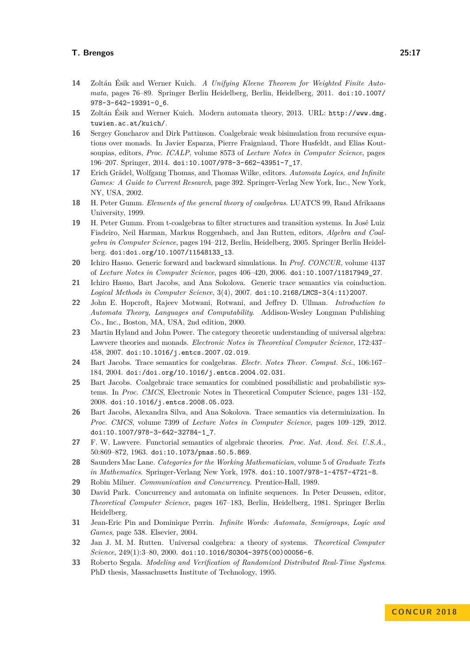- **14** Zoltán Ésik and Werner Kuich. *A Unifying Kleene Theorem for Weighted Finite Automata*, pages 76–89. Springer Berlin Heidelberg, Berlin, Heidelberg, 2011. [doi:10.1007/](http://dx.doi.org/10.1007/978-3-642-19391-0_6) [978-3-642-19391-0\\_6](http://dx.doi.org/10.1007/978-3-642-19391-0_6).
- <span id="page-16-18"></span>**15** Zoltán Ésik and Werner Kuich. Modern automata theory, 2013. URL: [http://www.dmg.](http://www.dmg.tuwien.ac.at/kuich/) [tuwien.ac.at/kuich/](http://www.dmg.tuwien.ac.at/kuich/).
- <span id="page-16-12"></span>**16** Sergey Goncharov and Dirk Pattinson. Coalgebraic weak bisimulation from recursive equations over monads. In Javier Esparza, Pierre Fraigniaud, Thore Husfeldt, and Elias Koutsoupias, editors, *Proc. ICALP*, volume 8573 of *Lecture Notes in Computer Science*, pages 196–207. Springer, 2014. [doi:10.1007/978-3-662-43951-7\\_17](http://dx.doi.org/10.1007/978-3-662-43951-7_17).
- <span id="page-16-2"></span>**17** Erich Grädel, Wolfgang Thomas, and Thomas Wilke, editors. *Automata Logics, and Infinite Games: A Guide to Current Research*, page 392. Springer-Verlag New York, Inc., New York, NY, USA, 2002.
- <span id="page-16-4"></span>**18** H. Peter Gumm. *Elements of the general theory of coalgebras*. LUATCS 99, Rand Afrikaans University, 1999.
- <span id="page-16-17"></span>**19** H. Peter Gumm. From t-coalgebras to filter structures and transition systems. In José Luiz Fiadeiro, Neil Harman, Markus Roggenbach, and Jan Rutten, editors, *Algebra and Coalgebra in Computer Science*, pages 194–212, Berlin, Heidelberg, 2005. Springer Berlin Heidelberg. [doi:doi.org/10.1007/11548133\\_13](http://dx.doi.org/doi.org/10.1007/11548133_13).
- <span id="page-16-9"></span>**20** Ichiro Hasuo. Generic forward and backward simulations. In *Prof. CONCUR*, volume 4137 of *Lecture Notes in Computer Science*, pages 406–420, 2006. [doi:10.1007/11817949\\_27](http://dx.doi.org/10.1007/11817949_27).
- <span id="page-16-5"></span>**21** Ichiro Hasuo, Bart Jacobs, and Ana Sokolova. Generic trace semantics via coinduction. *Logical Methods in Computer Science*, 3(4), 2007. [doi:10.2168/LMCS-3\(4:11\)2007](http://dx.doi.org/10.2168/LMCS-3(4:11)2007).
- <span id="page-16-0"></span>**22** John E. Hopcroft, Rajeev Motwani, Rotwani, and Jeffrey D. Ullman. *Introduction to Automata Theory, Languages and Computability*. Addison-Wesley Longman Publishing Co., Inc., Boston, MA, USA, 2nd edition, 2000.
- <span id="page-16-15"></span>**23** Martin Hyland and John Power. The category theoretic understanding of universal algebra: Lawvere theories and monads. *Electronic Notes in Theoretical Computer Science*, 172:437– 458, 2007. [doi:10.1016/j.entcs.2007.02.019](http://dx.doi.org/10.1016/j.entcs.2007.02.019).
- <span id="page-16-6"></span>**24** Bart Jacobs. Trace semantics for coalgebras. *Electr. Notes Theor. Comput. Sci.*, 106:167– 184, 2004. [doi:/doi.org/10.1016/j.entcs.2004.02.031](http://dx.doi.org//doi.org/10.1016/j.entcs.2004.02.031).
- <span id="page-16-13"></span>**25** Bart Jacobs. Coalgebraic trace semantics for combined possibilistic and probabilistic systems. In *Proc. CMCS*, Electronic Notes in Theoretical Computer Science, pages 131–152, 2008. [doi:10.1016/j.entcs.2008.05.023](http://dx.doi.org/10.1016/j.entcs.2008.05.023).
- <span id="page-16-16"></span>**26** Bart Jacobs, Alexandra Silva, and Ana Sokolova. Trace semantics via determinization. In *Proc. CMCS*, volume 7399 of *Lecture Notes in Computer Science*, pages 109–129, 2012. [doi:10.1007/978-3-642-32784-1\\_7](http://dx.doi.org/10.1007/978-3-642-32784-1_7).
- <span id="page-16-14"></span>**27** F. W. Lawvere. Functorial semantics of algebraic theories. *Proc. Nat. Acad. Sci. U.S.A.*, 50:869–872, 1963. [doi:10.1073/pnas.50.5.869](http://dx.doi.org/10.1073/pnas.50.5.869).
- <span id="page-16-10"></span>**28** Saunders Mac Lane. *Categories for the Working Mathematician*, volume 5 of *Graduate Texts in Mathematics*. Springer-Verlang New York, 1978. [doi:10.1007/978-1-4757-4721-8](http://dx.doi.org/10.1007/978-1-4757-4721-8).
- <span id="page-16-8"></span>**29** Robin Milner. *Communication and Concurrency*. Prentice-Hall, 1989.
- <span id="page-16-7"></span>**30** David Park. Concurrency and automata on infinite sequences. In Peter Deussen, editor, *Theoretical Computer Science*, pages 167–183, Berlin, Heidelberg, 1981. Springer Berlin Heidelberg.
- <span id="page-16-1"></span>**31** Jean-Eric Pin and Dominique Perrin. *Infinite Words: Automata, Semigroups, Logic and Games*, page 538. Elsevier, 2004.
- <span id="page-16-3"></span>**32** Jan J. M. M. Rutten. Universal coalgebra: a theory of systems. *Theoretical Computer Science*, 249(1):3–80, 2000. [doi:10.1016/S0304-3975\(00\)00056-6](http://dx.doi.org/10.1016/S0304-3975(00)00056-6).
- <span id="page-16-11"></span>**33** Roberto Segala. *Modeling and Verification of Randomized Distributed Real-Time Systems*. PhD thesis, Massachusetts Institute of Technology, 1995.